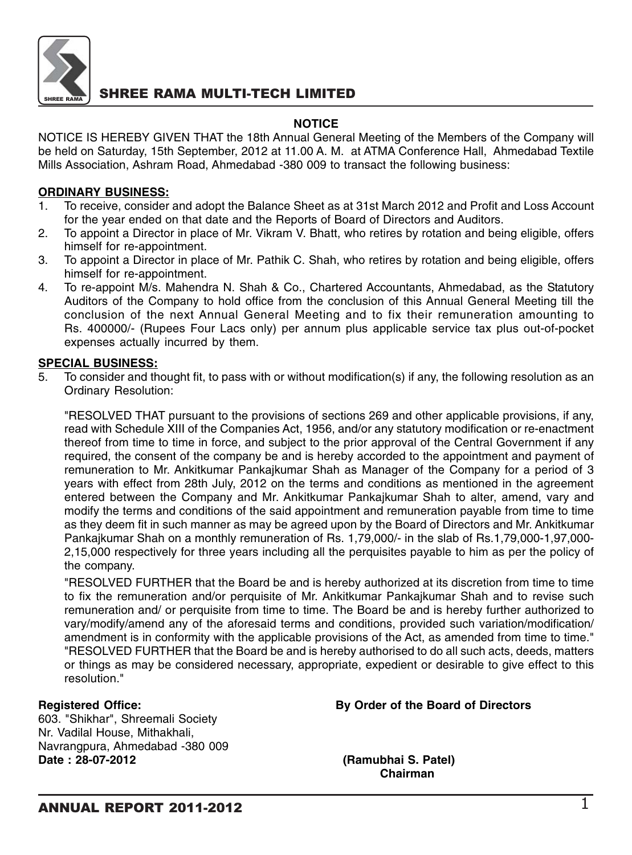

### **NOTICE**

NOTICE IS HEREBY GIVEN THAT the 18th Annual General Meeting of the Members of the Company will be held on Saturday, 15th September, 2012 at 11.00 A. M. at ATMA Conference Hall, Ahmedabad Textile Mills Association, Ashram Road, Ahmedabad -380 009 to transact the following business:

#### **ORDINARY BUSINESS:**

- 1. To receive, consider and adopt the Balance Sheet as at 31st March 2012 and Profit and Loss Account for the year ended on that date and the Reports of Board of Directors and Auditors.
- 2. To appoint a Director in place of Mr. Vikram V. Bhatt, who retires by rotation and being eligible, offers himself for re-appointment.
- 3. To appoint a Director in place of Mr. Pathik C. Shah, who retires by rotation and being eligible, offers himself for re-appointment.
- 4. To re-appoint M/s. Mahendra N. Shah & Co., Chartered Accountants, Ahmedabad, as the Statutory Auditors of the Company to hold office from the conclusion of this Annual General Meeting till the conclusion of the next Annual General Meeting and to fix their remuneration amounting to Rs. 400000/- (Rupees Four Lacs only) per annum plus applicable service tax plus out-of-pocket expenses actually incurred by them.

### **SPECIAL BUSINESS:**

5. To consider and thought fit, to pass with or without modification(s) if any, the following resolution as an Ordinary Resolution:

"RESOLVED THAT pursuant to the provisions of sections 269 and other applicable provisions, if any, read with Schedule XIII of the Companies Act, 1956, and/or any statutory modification or re-enactment thereof from time to time in force, and subject to the prior approval of the Central Government if any required, the consent of the company be and is hereby accorded to the appointment and payment of remuneration to Mr. Ankitkumar Pankajkumar Shah as Manager of the Company for a period of 3 years with effect from 28th July, 2012 on the terms and conditions as mentioned in the agreement entered between the Company and Mr. Ankitkumar Pankajkumar Shah to alter, amend, vary and modify the terms and conditions of the said appointment and remuneration payable from time to time as they deem fit in such manner as may be agreed upon by the Board of Directors and Mr. Ankitkumar Pankajkumar Shah on a monthly remuneration of Rs. 1,79,000/- in the slab of Rs.1,79,000-1,97,000- 2,15,000 respectively for three years including all the perquisites payable to him as per the policy of the company.

"RESOLVED FURTHER that the Board be and is hereby authorized at its discretion from time to time to fix the remuneration and/or perquisite of Mr. Ankitkumar Pankajkumar Shah and to revise such remuneration and/ or perquisite from time to time. The Board be and is hereby further authorized to vary/modify/amend any of the aforesaid terms and conditions, provided such variation/modification/ amendment is in conformity with the applicable provisions of the Act, as amended from time to time." "RESOLVED FURTHER that the Board be and is hereby authorised to do all such acts, deeds, matters or things as may be considered necessary, appropriate, expedient or desirable to give effect to this resolution."

603. "Shikhar", Shreemali Society Nr. Vadilal House, Mithakhali, Navrangpura, Ahmedabad -380 009<br>**Date: 28-07-2012** 

#### **Registered Office: By Order of the Board of Directors**

**Date : 28-07-2012 (Ramubhai S. Patel) Chairman**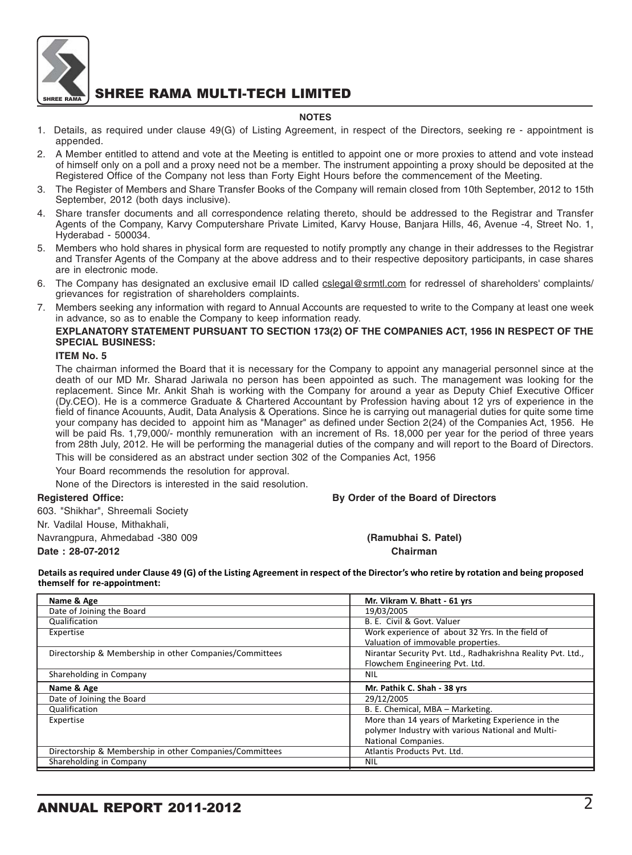

#### **NOTES**

- 1. Details, as required under clause 49(G) of Listing Agreement, in respect of the Directors, seeking re appointment is appended.
- 2. A Member entitled to attend and vote at the Meeting is entitled to appoint one or more proxies to attend and vote instead of himself only on a poll and a proxy need not be a member. The instrument appointing a proxy should be deposited at the Registered Office of the Company not less than Forty Eight Hours before the commencement of the Meeting.
- 3. The Register of Members and Share Transfer Books of the Company will remain closed from 10th September, 2012 to 15th September, 2012 (both days inclusive).
- 4. Share transfer documents and all correspondence relating thereto, should be addressed to the Registrar and Transfer Agents of the Company, Karvy Computershare Private Limited, Karvy House, Banjara Hills, 46, Avenue -4, Street No. 1, Hyderabad - 500034.
- 5. Members who hold shares in physical form are requested to notify promptly any change in their addresses to the Registrar and Transfer Agents of the Company at the above address and to their respective depository participants, in case shares are in electronic mode.
- 6. The Company has designated an exclusive email ID called cslegal@srmtl.com for redressel of shareholders' complaints/ grievances for registration of shareholders complaints.
- 7. Members seeking any information with regard to Annual Accounts are requested to write to the Company at least one week in advance, so as to enable the Company to keep information ready.

#### **EXPLANATORY STATEMENT PURSUANT TO SECTION 173(2) OF THE COMPANIES ACT, 1956 IN RESPECT OF THE SPECIAL BUSINESS:**

#### **ITEM No. 5**

The chairman informed the Board that it is necessary for the Company to appoint any managerial personnel since at the death of our MD Mr. Sharad Jariwala no person has been appointed as such. The management was looking for the replacement. Since Mr. Ankit Shah is working with the Company for around a year as Deputy Chief Executive Officer (Dy.CEO). He is a commerce Graduate & Chartered Accountant by Profession having about 12 yrs of experience in the field of finance Acouunts, Audit, Data Analysis & Operations. Since he is carrying out managerial duties for quite some time your company has decided to appoint him as "Manager" as defined under Section 2(24) of the Companies Act, 1956. He will be paid Rs. 1,79,000/- monthly remuneration with an increment of Rs. 18,000 per year for the period of three years from 28th July, 2012. He will be performing the managerial duties of the company and will report to the Board of Directors.

This will be considered as an abstract under section 302 of the Companies Act, 1956

Your Board recommends the resolution for approval.

None of the Directors is interested in the said resolution.

**Registered Office: By Order of the Board of Directors**

603. "Shikhar", Shreemali Society Nr. Vadilal House, Mithakhali, Navrangpura, Ahmedabad -380 009 **(Ramubhai S. Patel)**

**Date : 28-07-2012 Chairman**

Details as required under Clause 49 (G) of the Listing Agreement in respect of the Director's who retire by rotation and being proposed themself for re-appointment:

| Name & Age                                              | Mr. Vikram V. Bhatt - 61 yrs                                 |
|---------------------------------------------------------|--------------------------------------------------------------|
| Date of Joining the Board                               | 19/03/2005                                                   |
| Qualification                                           | B. E. Civil & Govt. Valuer                                   |
| Expertise                                               | Work experience of about 32 Yrs. In the field of             |
|                                                         | Valuation of immovable properties.                           |
| Directorship & Membership in other Companies/Committees | Nirantar Security Pvt. Ltd., Radhakrishna Reality Pvt. Ltd., |
|                                                         | Flowchem Engineering Pvt. Ltd.                               |
| Shareholding in Company                                 | <b>NIL</b>                                                   |
|                                                         |                                                              |
| Name & Age                                              | Mr. Pathik C. Shah - 38 yrs                                  |
| Date of Joining the Board                               | 29/12/2005                                                   |
| Qualification                                           | B. E. Chemical, MBA - Marketing.                             |
| Expertise                                               | More than 14 years of Marketing Experience in the            |
|                                                         | polymer Industry with various National and Multi-            |
|                                                         | National Companies.                                          |
| Directorship & Membership in other Companies/Committees | Atlantis Products Pvt. Ltd.                                  |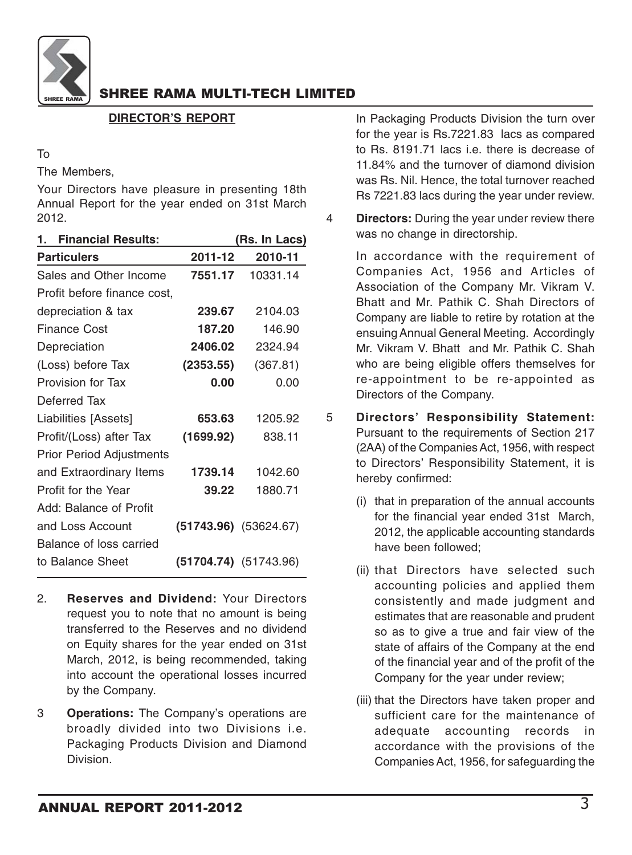

### **DIRECTOR'S REPORT**

#### To

The Members,

Your Directors have pleasure in presenting 18th Annual Report for the year ended on 31st March 2012.

| 2011-12<br>7551.17 | 2010-11<br>10331.14                                                            |
|--------------------|--------------------------------------------------------------------------------|
|                    |                                                                                |
|                    |                                                                                |
|                    |                                                                                |
|                    | 2104.03                                                                        |
|                    | 146.90                                                                         |
|                    | 2324.94                                                                        |
| (2353.55)          | (367.81)                                                                       |
|                    | 0.00                                                                           |
|                    |                                                                                |
|                    | 1205.92                                                                        |
|                    | 838.11                                                                         |
|                    |                                                                                |
|                    | 1042.60                                                                        |
|                    | 1880.71                                                                        |
|                    |                                                                                |
|                    | $(51743.96)$ $(53624.67)$                                                      |
|                    |                                                                                |
|                    | $(51704.74)$ $(51743.96)$                                                      |
|                    | 239.67<br>187.20<br>2406.02<br>0.00<br>653.63<br>(1699.92)<br>1739.14<br>39.22 |

- 2. **Reserves and Dividend:** Your Directors request you to note that no amount is being transferred to the Reserves and no dividend on Equity shares for the year ended on 31st March, 2012, is being recommended, taking into account the operational losses incurred by the Company.
- 3 **Operations:** The Company's operations are broadly divided into two Divisions i.e. Packaging Products Division and Diamond Division.

In Packaging Products Division the turn over for the year is Rs.7221.83 lacs as compared to Rs. 8191.71 lacs i.e. there is decrease of 11.84% and the turnover of diamond division was Rs. Nil. Hence, the total turnover reached Rs 7221.83 lacs during the year under review.

4 **Directors:** During the year under review there was no change in directorship.

> In accordance with the requirement of Companies Act, 1956 and Articles of Association of the Company Mr. Vikram V. Bhatt and Mr. Pathik C. Shah Directors of Company are liable to retire by rotation at the ensuing Annual General Meeting. Accordingly Mr. Vikram V. Bhatt and Mr. Pathik C. Shah who are being eligible offers themselves for re-appointment to be re-appointed as Directors of the Company.

- 5 **Directors' Responsibility Statement:** Pursuant to the requirements of Section 217 (2AA) of the Companies Act, 1956, with respect to Directors' Responsibility Statement, it is hereby confirmed:
	- (i) that in preparation of the annual accounts for the financial year ended 31st March, 2012, the applicable accounting standards have been followed;
	- (ii) that Directors have selected such accounting policies and applied them consistently and made judgment and estimates that are reasonable and prudent so as to give a true and fair view of the state of affairs of the Company at the end of the financial year and of the profit of the Company for the year under review;
	- (iii) that the Directors have taken proper and sufficient care for the maintenance of adequate accounting records in accordance with the provisions of the Companies Act, 1956, for safeguarding the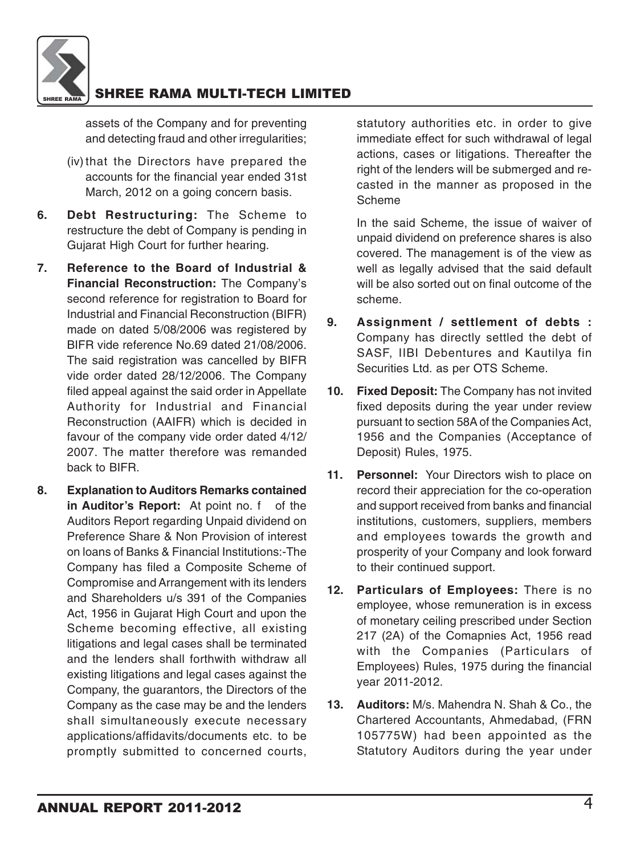

assets of the Company and for preventing and detecting fraud and other irregularities;

- (iv) that the Directors have prepared the accounts for the financial year ended 31st March, 2012 on a going concern basis.
- **6. Debt Restructuring:** The Scheme to restructure the debt of Company is pending in Gujarat High Court for further hearing.
- **7. Reference to the Board of Industrial & Financial Reconstruction:** The Company's second reference for registration to Board for Industrial and Financial Reconstruction (BIFR) made on dated 5/08/2006 was registered by BIFR vide reference No.69 dated 21/08/2006. The said registration was cancelled by BIFR vide order dated 28/12/2006. The Company filed appeal against the said order in Appellate Authority for Industrial and Financial Reconstruction (AAIFR) which is decided in favour of the company vide order dated 4/12/ 2007. The matter therefore was remanded back to BIFR.
- **8. Explanation to Auditors Remarks contained** in Auditor's Report: At point no. f of the Auditors Report regarding Unpaid dividend on Preference Share & Non Provision of interest on loans of Banks & Financial Institutions:-The Company has filed a Composite Scheme of Compromise and Arrangement with its lenders and Shareholders u/s 391 of the Companies Act, 1956 in Gujarat High Court and upon the Scheme becoming effective, all existing litigations and legal cases shall be terminated and the lenders shall forthwith withdraw all existing litigations and legal cases against the Company, the guarantors, the Directors of the Company as the case may be and the lenders shall simultaneously execute necessary applications/affidavits/documents etc. to be promptly submitted to concerned courts,

statutory authorities etc. in order to give immediate effect for such withdrawal of legal actions, cases or litigations. Thereafter the right of the lenders will be submerged and recasted in the manner as proposed in the Scheme

In the said Scheme, the issue of waiver of unpaid dividend on preference shares is also covered. The management is of the view as well as legally advised that the said default will be also sorted out on final outcome of the scheme.

- **9. Assignment / settlement of debts :** Company has directly settled the debt of SASF, IIBI Debentures and Kautilya fin Securities Ltd. as per OTS Scheme.
- **10. Fixed Deposit:** The Company has not invited fixed deposits during the year under review pursuant to section 58A of the Companies Act, 1956 and the Companies (Acceptance of Deposit) Rules, 1975.
- **11. Personnel:** Your Directors wish to place on record their appreciation for the co-operation and support received from banks and financial institutions, customers, suppliers, members and employees towards the growth and prosperity of your Company and look forward to their continued support.
- **12. Particulars of Employees:** There is no employee, whose remuneration is in excess of monetary ceiling prescribed under Section 217 (2A) of the Comapnies Act, 1956 read with the Companies (Particulars of Employees) Rules, 1975 during the financial year 2011-2012.
- **13. Auditors:** M/s. Mahendra N. Shah & Co., the Chartered Accountants, Ahmedabad, (FRN 105775W) had been appointed as the Statutory Auditors during the year under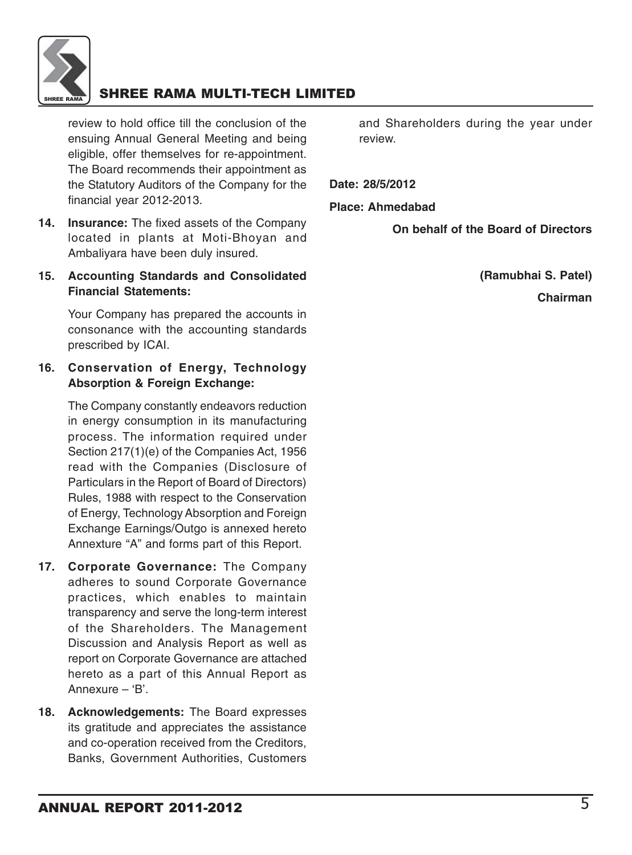

review to hold office till the conclusion of the ensuing Annual General Meeting and being eligible, offer themselves for re-appointment. The Board recommends their appointment as the Statutory Auditors of the Company for the financial year 2012-2013.

- **14. Insurance:** The fixed assets of the Company located in plants at Moti-Bhoyan and Ambaliyara have been duly insured.
- **15. Accounting Standards and Consolidated Financial Statements:**

Your Company has prepared the accounts in consonance with the accounting standards prescribed by ICAI.

### **16. Conservation of Energy, Technology Absorption & Foreign Exchange:**

The Company constantly endeavors reduction in energy consumption in its manufacturing process. The information required under Section 217(1)(e) of the Companies Act, 1956 read with the Companies (Disclosure of Particulars in the Report of Board of Directors) Rules, 1988 with respect to the Conservation of Energy, Technology Absorption and Foreign Exchange Earnings/Outgo is annexed hereto Annexture "A" and forms part of this Report.

- **17. Corporate Governance:** The Company adheres to sound Corporate Governance practices, which enables to maintain transparency and serve the long-term interest of the Shareholders. The Management Discussion and Analysis Report as well as report on Corporate Governance are attached hereto as a part of this Annual Report as Annexure – 'B'.
- **18. Acknowledgements:** The Board expresses its gratitude and appreciates the assistance and co-operation received from the Creditors, Banks, Government Authorities, Customers

and Shareholders during the year under review.

**Date: 28/5/2012**

**Place: Ahmedabad**

 **On behalf of the Board of Directors**

 **(Ramubhai S. Patel)**

 **Chairman**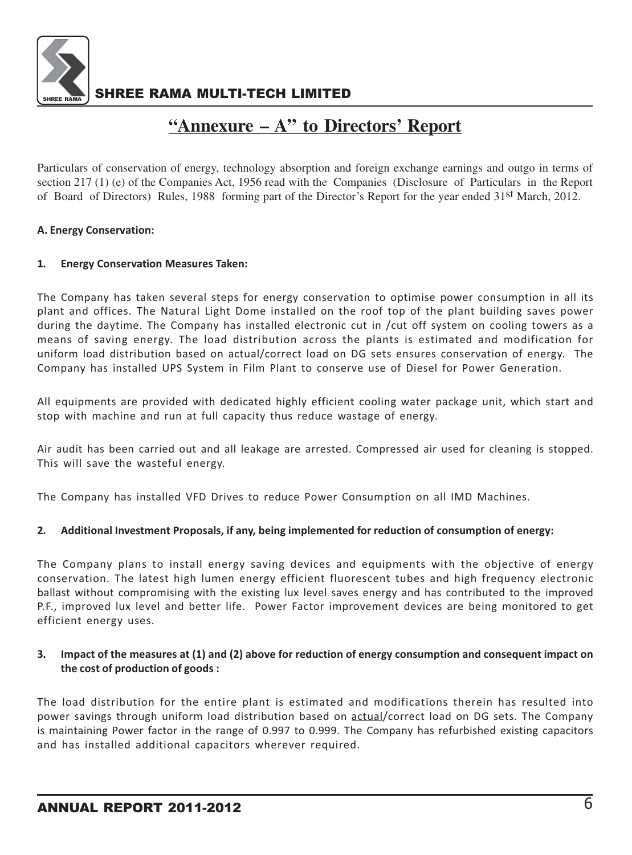

# **"Annexure – A" to Directors' Report**

Particulars of conservation of energy, technology absorption and foreign exchange earnings and outgo in terms of section 217 (1) (e) of the Companies Act, 1956 read with the Companies (Disclosure of Particulars in the Report of Board of Directors) Rules, 1988 forming part of the Director's Report for the year ended 31st March, 2012.

#### A. Energy Conservation:

#### 1. Energy Conservation Measures Taken:

The Company has taken several steps for energy conservation to optimise power consumption in all its plant and offices. The Natural Light Dome installed on the roof top of the plant building saves power during the daytime. The Company has installed electronic cut in /cut off system on cooling towers as a means of saving energy. The load distribution across the plants is estimated and modification for uniform load distribution based on actual/correct load on DG sets ensures conservation of energy. The Company has installed UPS System in Film Plant to conserve use of Diesel for Power Generation.

All equipments are provided with dedicated highly efficient cooling water package unit, which start and stop with machine and run at full capacity thus reduce wastage of energy.

Air audit has been carried out and all leakage are arrested. Compressed air used for cleaning is stopped. This will save the wasteful energy.

The Company has installed VFD Drives to reduce Power Consumption on all IMD Machines.

#### 2. Additional Investment Proposals, if any, being implemented for reduction of consumption of energy:

The Company plans to install energy saving devices and equipments with the objective of energy conservation. The latest high lumen energy efficient fluorescent tubes and high frequency electronic ballast without compromising with the existing lux level saves energy and has contributed to the improved P.F., improved lux level and better life. Power Factor improvement devices are being monitored to get efficient energy uses.

#### 3. Impact of the measures at (1) and (2) above for reduction of energy consumption and consequent impact on the cost of production of goods :

The load distribution for the entire plant is estimated and modifications therein has resulted into power savings through uniform load distribution based on actual/correct load on DG sets. The Company is maintaining Power factor in the range of 0.997 to 0.999. The Company has refurbished existing capacitors and has installed additional capacitors wherever required.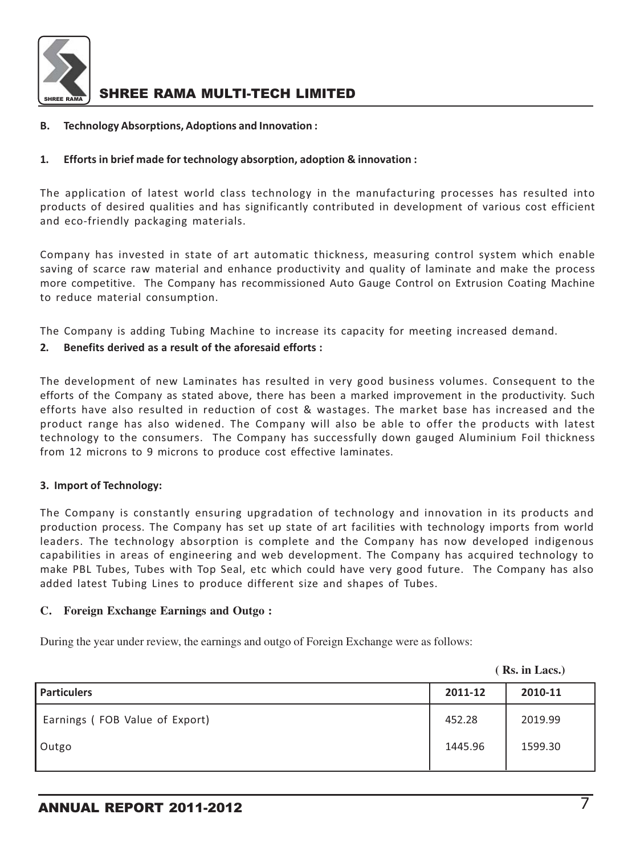

#### B. Technology Absorptions, Adoptions and Innovation :

#### 1. Efforts in brief made for technology absorption, adoption & innovation :

The application of latest world class technology in the manufacturing processes has resulted into products of desired qualities and has significantly contributed in development of various cost efficient and eco-friendly packaging materials.

Company has invested in state of art automatic thickness, measuring control system which enable saving of scarce raw material and enhance productivity and quality of laminate and make the process more competitive. The Company has recommissioned Auto Gauge Control on Extrusion Coating Machine to reduce material consumption.

The Company is adding Tubing Machine to increase its capacity for meeting increased demand.

#### 2. Benefits derived as a result of the aforesaid efforts :

The development of new Laminates has resulted in very good business volumes. Consequent to the efforts of the Company as stated above, there has been a marked improvement in the productivity. Such efforts have also resulted in reduction of cost & wastages. The market base has increased and the product range has also widened. The Company will also be able to offer the products with latest technology to the consumers. The Company has successfully down gauged Aluminium Foil thickness from 12 microns to 9 microns to produce cost effective laminates.

#### 3. Import of Technology:

The Company is constantly ensuring upgradation of technology and innovation in its products and production process. The Company has set up state of art facilities with technology imports from world leaders. The technology absorption is complete and the Company has now developed indigenous capabilities in areas of engineering and web development. The Company has acquired technology to make PBL Tubes, Tubes with Top Seal, etc which could have very good future. The Company has also added latest Tubing Lines to produce different size and shapes of Tubes.

#### **C. Foreign Exchange Earnings and Outgo :**

During the year under review, the earnings and outgo of Foreign Exchange were as follows:

**( Rs. in Lacs.)**

| <b>Particulers</b>             | 2011-12 | 2010-11 |
|--------------------------------|---------|---------|
| Earnings (FOB Value of Export) | 452.28  | 2019.99 |
| Outgo                          | 1445.96 | 1599.30 |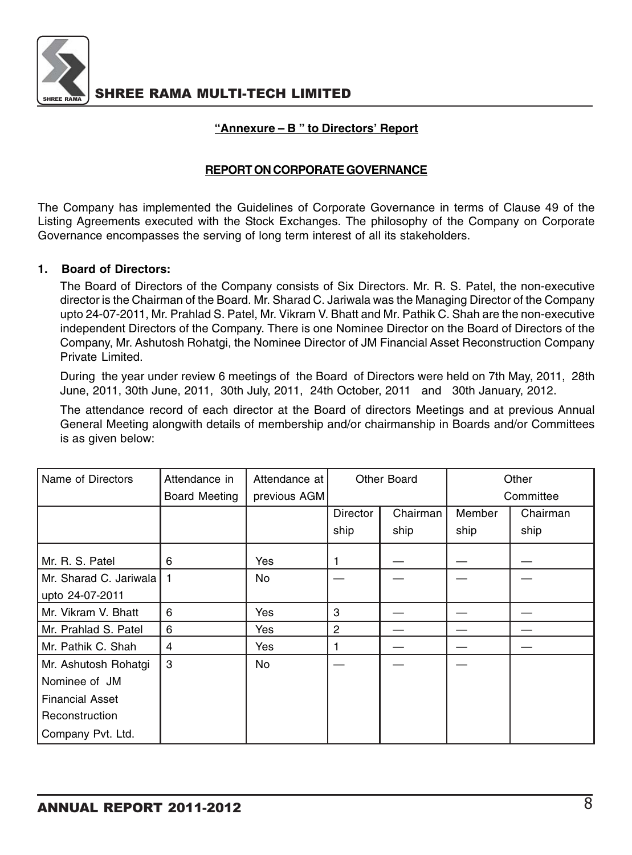

### **"Annexure – B " to Directors' Report**

### **REPORT ON CORPORATE GOVERNANCE**

The Company has implemented the Guidelines of Corporate Governance in terms of Clause 49 of the Listing Agreements executed with the Stock Exchanges. The philosophy of the Company on Corporate Governance encompasses the serving of long term interest of all its stakeholders.

#### **1. Board of Directors:**

The Board of Directors of the Company consists of Six Directors. Mr. R. S. Patel, the non-executive director is the Chairman of the Board. Mr. Sharad C. Jariwala was the Managing Director of the Company upto 24-07-2011, Mr. Prahlad S. Patel, Mr. Vikram V. Bhatt and Mr. Pathik C. Shah are the non-executive independent Directors of the Company. There is one Nominee Director on the Board of Directors of the Company, Mr. Ashutosh Rohatgi, the Nominee Director of JM Financial Asset Reconstruction Company Private Limited.

During the year under review 6 meetings of the Board of Directors were held on 7th May, 2011, 28th June, 2011, 30th June, 2011, 30th July, 2011, 24th October, 2011 and 30th January, 2012.

The attendance record of each director at the Board of directors Meetings and at previous Annual General Meeting alongwith details of membership and/or chairmanship in Boards and/or Committees is as given below:

| Name of Directors        | Attendance in | Attendance at | Other Board     |          | Other  |           |
|--------------------------|---------------|---------------|-----------------|----------|--------|-----------|
|                          | Board Meeting | previous AGM  |                 |          |        | Committee |
|                          |               |               | <b>Director</b> | Chairman | Member | Chairman  |
|                          |               |               | ship            | ship     | ship   | ship      |
| Mr. R. S. Patel          | 6             | Yes           |                 |          |        |           |
| Mr. Sharad C. Jariwala I |               | No.           |                 |          |        |           |
| upto 24-07-2011          |               |               |                 |          |        |           |
| Mr. Vikram V. Bhatt      | 6             | Yes           | 3               |          |        |           |
| Mr. Prahlad S. Patel     | 6             | Yes           | $\mathbf{2}$    |          |        |           |
| Mr. Pathik C. Shah       | 4             | Yes           |                 |          |        |           |
| Mr. Ashutosh Rohatgi     | 3             | No            |                 |          |        |           |
| Nominee of JM            |               |               |                 |          |        |           |
| <b>Financial Asset</b>   |               |               |                 |          |        |           |
| Reconstruction           |               |               |                 |          |        |           |
| Company Pvt. Ltd.        |               |               |                 |          |        |           |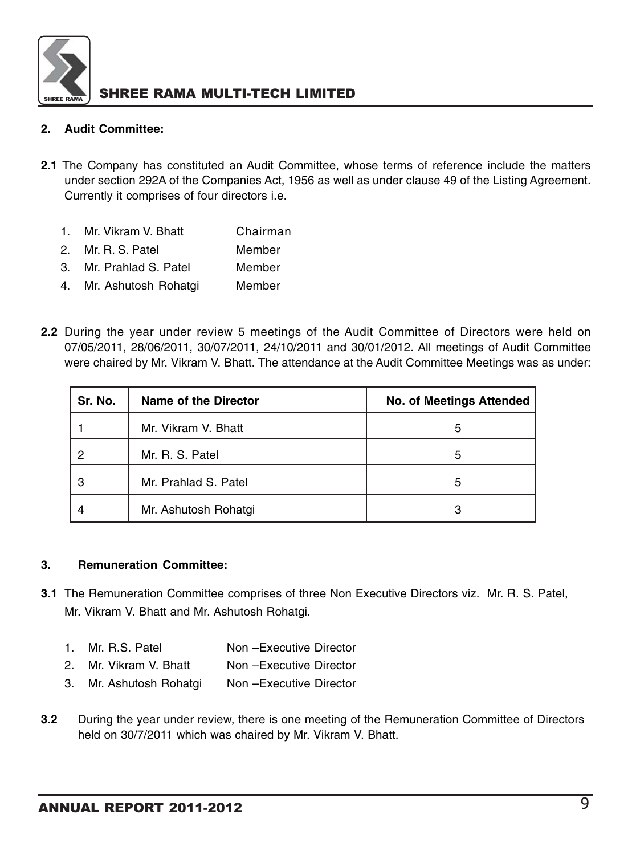

### **2. Audit Committee:**

- **2.1** The Company has constituted an Audit Committee, whose terms of reference include the matters under section 292A of the Companies Act, 1956 as well as under clause 49 of the Listing Agreement. Currently it comprises of four directors i.e.
	- 1 Mr. Vikram V. Bhatt Chairman
	- 2. Mr. R. S. Patel Member
	- 3. Mr. Prahlad S. Patel Member
	- 4. Mr. Ashutosh Rohatgi Member
- **2.2** During the year under review 5 meetings of the Audit Committee of Directors were held on 07/05/2011, 28/06/2011, 30/07/2011, 24/10/2011 and 30/01/2012. All meetings of Audit Committee were chaired by Mr. Vikram V. Bhatt. The attendance at the Audit Committee Meetings was as under:

| Sr. No. | Name of the Director | <b>No. of Meetings Attended</b> |
|---------|----------------------|---------------------------------|
|         | Mr. Vikram V. Bhatt  | 5                               |
| 2       | Mr. R. S. Patel      | 5                               |
| З       | Mr. Prahlad S. Patel | 5                               |
|         | Mr. Ashutosh Rohatgi |                                 |

#### **3. Remuneration Committee:**

- **3.1** The Remuneration Committee comprises of three Non Executive Directors viz. Mr. R. S. Patel, Mr. Vikram V. Bhatt and Mr. Ashutosh Rohatgi.
	- 1. Mr. R.S. Patel Non –Executive Director
	- 2. Mr. Vikram V. Bhatt Non Executive Director
	- 3. Mr. Ashutosh Rohatgi Non –Executive Director
- **3.2** During the year under review, there is one meeting of the Remuneration Committee of Directors held on 30/7/2011 which was chaired by Mr. Vikram V. Bhatt.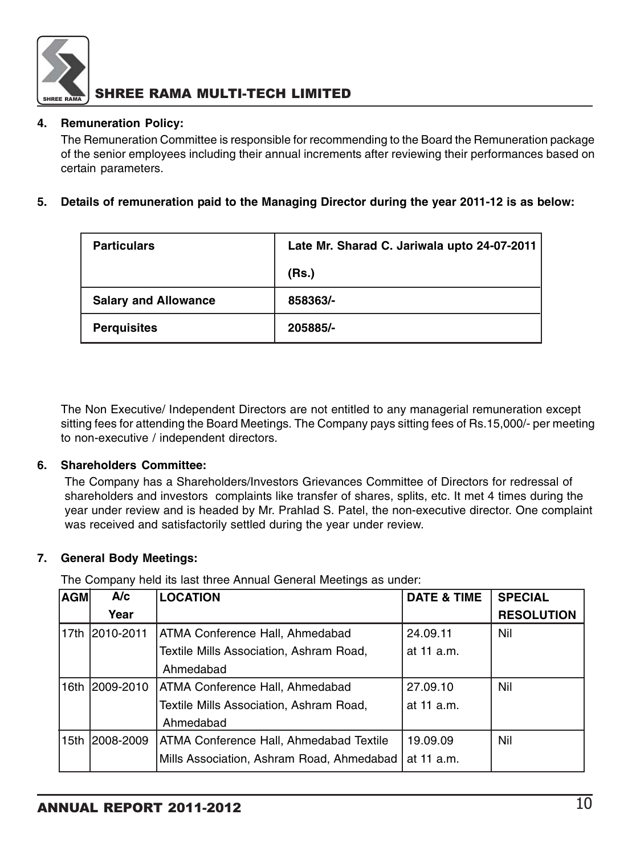

### **4. Remuneration Policy:**

The Remuneration Committee is responsible for recommending to the Board the Remuneration package of the senior employees including their annual increments after reviewing their performances based on certain parameters.

### **5. Details of remuneration paid to the Managing Director during the year 2011-12 is as below:**

| <b>Particulars</b>          | Late Mr. Sharad C. Jariwala upto 24-07-2011 |
|-----------------------------|---------------------------------------------|
|                             | (Rs.)                                       |
| <b>Salary and Allowance</b> | 858363/-                                    |
| <b>Perquisites</b>          | 205885/-                                    |

The Non Executive/ Independent Directors are not entitled to any managerial remuneration except sitting fees for attending the Board Meetings. The Company pays sitting fees of Rs.15,000/- per meeting to non-executive / independent directors.

#### **6. Shareholders Committee:**

The Company has a Shareholders/Investors Grievances Committee of Directors for redressal of shareholders and investors complaints like transfer of shares, splits, etc. It met 4 times during the year under review and is headed by Mr. Prahlad S. Patel, the non-executive director. One complaint was received and satisfactorily settled during the year under review.

### **7. General Body Meetings:**

The Company held its last three Annual General Meetings as under:

| <b>AGM</b> | A/c            | <b>LOCATION</b>                           | <b>DATE &amp; TIME</b> | <b>SPECIAL</b>    |
|------------|----------------|-------------------------------------------|------------------------|-------------------|
|            | Year           |                                           |                        | <b>RESOLUTION</b> |
|            | 17th 2010-2011 | ATMA Conference Hall, Ahmedabad           | 24.09.11               | Nil               |
|            |                | Textile Mills Association, Ashram Road,   | at 11 a.m.             |                   |
|            |                | Ahmedabad                                 |                        |                   |
| 16th       | 2009-2010      | ATMA Conference Hall, Ahmedabad           | 27.09.10               | Nil               |
|            |                | Textile Mills Association, Ashram Road,   | at 11 a.m.             |                   |
|            |                | Ahmedabad                                 |                        |                   |
|            | 15th 2008-2009 | ATMA Conference Hall, Ahmedabad Textile   | 19.09.09               | Nil               |
|            |                | Mills Association, Ashram Road, Ahmedabad | at 11 a.m.             |                   |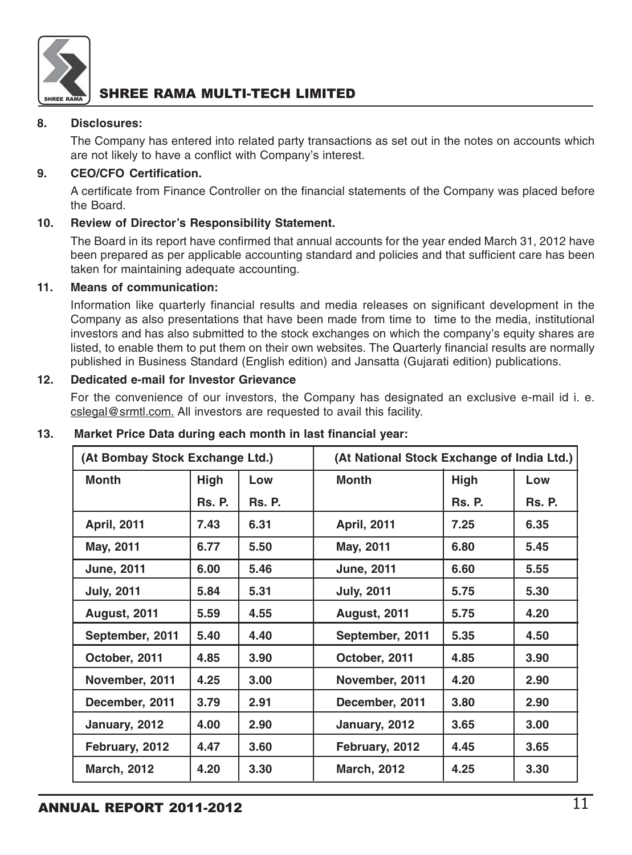

#### **8. Disclosures:**

The Company has entered into related party transactions as set out in the notes on accounts which are not likely to have a conflict with Company's interest.

#### **9. CEO/CFO Certification.**

A certificate from Finance Controller on the financial statements of the Company was placed before the Board.

#### **10. Review of Director's Responsibility Statement.**

The Board in its report have confirmed that annual accounts for the year ended March 31, 2012 have been prepared as per applicable accounting standard and policies and that sufficient care has been taken for maintaining adequate accounting.

#### **11. Means of communication:**

Information like quarterly financial results and media releases on significant development in the Company as also presentations that have been made from time to time to the media, institutional investors and has also submitted to the stock exchanges on which the company's equity shares are listed, to enable them to put them on their own websites. The Quarterly financial results are normally published in Business Standard (English edition) and Jansatta (Gujarati edition) publications.

### **12. Dedicated e-mail for Investor Grievance**

For the convenience of our investors, the Company has designated an exclusive e-mail id i. e. cslegal@srmtl.com. All investors are requested to avail this facility.

| (At Bombay Stock Exchange Ltd.) |               |               | (At National Stock Exchange of India Ltd.) |               |               |
|---------------------------------|---------------|---------------|--------------------------------------------|---------------|---------------|
| <b>Month</b>                    | High          | Low           | <b>Month</b>                               | <b>High</b>   | Low           |
|                                 | <b>Rs. P.</b> | <b>Rs. P.</b> |                                            | <b>Rs. P.</b> | <b>Rs. P.</b> |
| <b>April, 2011</b>              | 7.43          | 6.31          | <b>April, 2011</b>                         | 7.25          | 6.35          |
| May, 2011                       | 6.77          | 5.50          | May, 2011                                  | 6.80          | 5.45          |
| <b>June, 2011</b>               | 6.00          | 5.46          | <b>June, 2011</b>                          | 6.60          | 5.55          |
| <b>July, 2011</b>               | 5.84          | 5.31          | <b>July, 2011</b>                          | 5.75          | 5.30          |
| <b>August, 2011</b>             | 5.59          | 4.55          | <b>August, 2011</b>                        | 5.75          | 4.20          |
| September, 2011                 | 5.40          | 4.40          | September, 2011                            | 5.35          | 4.50          |
| October, 2011                   | 4.85          | 3.90          | October, 2011                              | 4.85          | 3.90          |
| November, 2011                  | 4.25          | 3.00          | November, 2011                             | 4.20          | 2.90          |
| December, 2011                  | 3.79          | 2.91          | December, 2011                             | 3.80          | 2.90          |
| January, 2012                   | 4.00          | 2.90          | January, 2012                              | 3.65          | 3.00          |
| February, 2012                  | 4.47          | 3.60          | February, 2012                             | 4.45          | 3.65          |
| <b>March, 2012</b>              | 4.20          | 3.30          | <b>March, 2012</b>                         | 4.25          | 3.30          |

#### **13. Market Price Data during each month in last financial year:**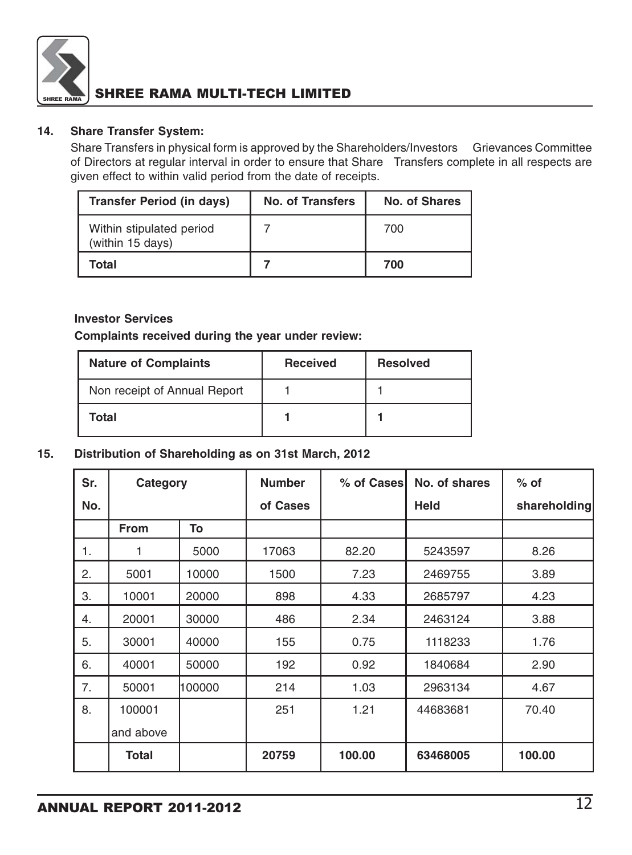

#### **14. Share Transfer System:**

Share Transfers in physical form is approved by the Shareholders/Investors Grievances Committee of Directors at regular interval in order to ensure that Share Transfers complete in all respects are given effect to within valid period from the date of receipts.

| <b>Transfer Period (in days)</b>             | No. of Transfers | No. of Shares |
|----------------------------------------------|------------------|---------------|
| Within stipulated period<br>(within 15 days) |                  | 700           |
| Total                                        |                  | 700           |

#### **Investor Services**

**Complaints received during the year under review:**

| <b>Nature of Complaints</b>  | <b>Received</b> | <b>Resolved</b> |
|------------------------------|-----------------|-----------------|
| Non receipt of Annual Report |                 |                 |
| Total                        |                 |                 |

#### **15. Distribution of Shareholding as on 31st March, 2012**

| Sr. | Category     |        | <b>Number</b> | % of Cases | No. of shares | $%$ of       |
|-----|--------------|--------|---------------|------------|---------------|--------------|
| No. |              |        | of Cases      |            | <b>Held</b>   | shareholding |
|     | <b>From</b>  | To     |               |            |               |              |
| 1.  |              | 5000   | 17063         | 82.20      | 5243597       | 8.26         |
| 2.  | 5001         | 10000  | 1500          | 7.23       | 2469755       | 3.89         |
| 3.  | 10001        | 20000  | 898           | 4.33       | 2685797       | 4.23         |
| 4.  | 20001        | 30000  | 486           | 2.34       | 2463124       | 3.88         |
| 5.  | 30001        | 40000  | 155           | 0.75       | 1118233       | 1.76         |
| 6.  | 40001        | 50000  | 192           | 0.92       | 1840684       | 2.90         |
| 7.  | 50001        | 100000 | 214           | 1.03       | 2963134       | 4.67         |
| 8.  | 100001       |        | 251           | 1.21       | 44683681      | 70.40        |
|     | and above    |        |               |            |               |              |
|     | <b>Total</b> |        | 20759         | 100.00     | 63468005      | 100.00       |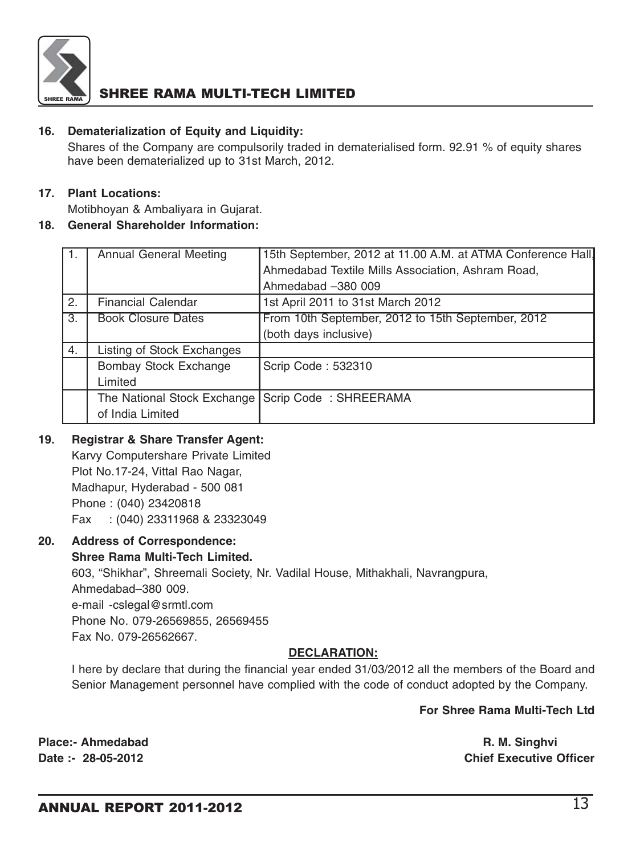

#### **16. Dematerialization of Equity and Liquidity:**

Shares of the Company are compulsorily traded in dematerialised form. 92.91 % of equity shares have been dematerialized up to 31st March, 2012.

### **17. Plant Locations:**

Motibhoyan & Ambaliyara in Gujarat.

### **18. General Shareholder Information:**

| $\mathbf{1}$ .   | Annual General Meeting                              | 15th September, 2012 at 11.00 A.M. at ATMA Conference Hall, |
|------------------|-----------------------------------------------------|-------------------------------------------------------------|
|                  |                                                     | Ahmedabad Textile Mills Association, Ashram Road,           |
|                  |                                                     | Ahmedabad -380 009                                          |
| 2.               | <b>Financial Calendar</b>                           | 1st April 2011 to 31st March 2012                           |
| $\overline{3}$ . | <b>Book Closure Dates</b>                           | From 10th September, 2012 to 15th September, 2012           |
|                  |                                                     | (both days inclusive)                                       |
| 4.               | Listing of Stock Exchanges                          |                                                             |
|                  | Bombay Stock Exchange                               | Scrip Code: 532310                                          |
|                  | Limited                                             |                                                             |
|                  | The National Stock Exchange   Scrip Code: SHREERAMA |                                                             |
|                  | of India Limited                                    |                                                             |

#### **19. Registrar & Share Transfer Agent:**

Karvy Computershare Private Limited Plot No.17-24, Vittal Rao Nagar, Madhapur, Hyderabad - 500 081 Phone : (040) 23420818 Fax : (040) 23311968 & 23323049

#### **20. Address of Correspondence:**

#### **Shree Rama Multi-Tech Limited.**

603, "Shikhar", Shreemali Society, Nr. Vadilal House, Mithakhali, Navrangpura, Ahmedabad–380 009. e-mail -cslegal@srmtl.com Phone No. 079-26569855, 26569455 Fax No. 079-26562667.

### **DECLARATION:**

I here by declare that during the financial year ended 31/03/2012 all the members of the Board and Senior Management personnel have complied with the code of conduct adopted by the Company.

#### **For Shree Rama Multi-Tech Ltd**

**Date :- 28-05-2012 Chief Executive Officer**

**Place:- Ahmedabad R. M. Singhvi**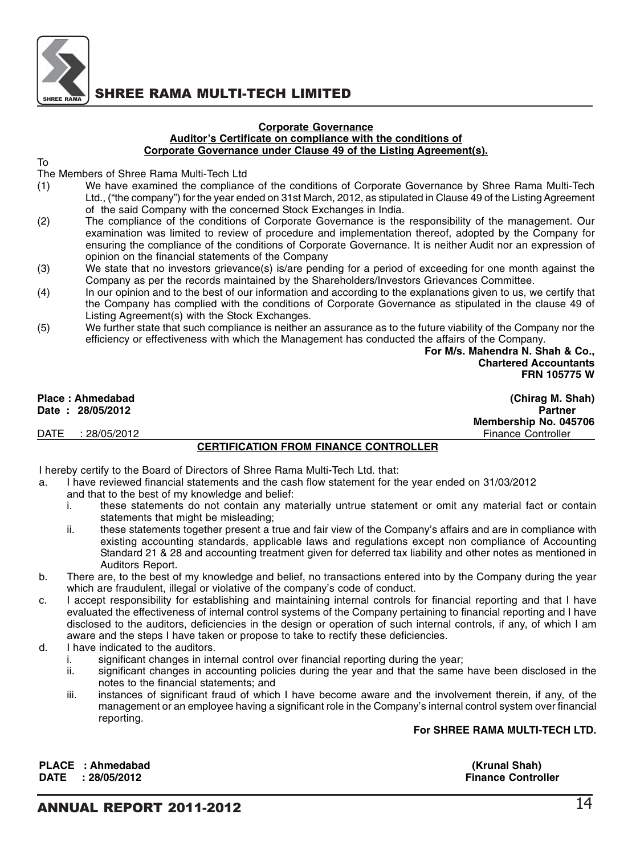

#### **Corporate Governance Auditor's Certificate on compliance with the conditions of Corporate Governance under Clause 49 of the Listing Agreement(s).**

To

The Members of Shree Rama Multi-Tech Ltd

- (1) We have examined the compliance of the conditions of Corporate Governance by Shree Rama Multi-Tech Ltd., ("the company") for the year ended on 31st March, 2012, as stipulated in Clause 49 of the Listing Agreement of the said Company with the concerned Stock Exchanges in India.
- (2) The compliance of the conditions of Corporate Governance is the responsibility of the management. Our examination was limited to review of procedure and implementation thereof, adopted by the Company for ensuring the compliance of the conditions of Corporate Governance. It is neither Audit nor an expression of opinion on the financial statements of the Company
- (3) We state that no investors grievance(s) is/are pending for a period of exceeding for one month against the Company as per the records maintained by the Shareholders/Investors Grievances Committee.
- (4) In our opinion and to the best of our information and according to the explanations given to us, we certify that the Company has complied with the conditions of Corporate Governance as stipulated in the clause 49 of Listing Agreement(s) with the Stock Exchanges.
- (5) We further state that such compliance is neither an assurance as to the future viability of the Company nor the efficiency or effectiveness with which the Management has conducted the affairs of the Company.

 **For M/s. Mahendra N. Shah & Co., Chartered Accountants FRN 105775 W**

**Membership No. 045706**

**Place : Ahmedabad (Chirag M. Shah)**

**Date : 28/05/2012 Partner** 

DATE : 28/05/2012

#### **CERTIFICATION FROM FINANCE CONTROLLER**

I hereby certify to the Board of Directors of Shree Rama Multi-Tech Ltd. that:

- a. I have reviewed financial statements and the cash flow statement for the year ended on 31/03/2012
	- and that to the best of my knowledge and belief:
	- i. these statements do not contain any materially untrue statement or omit any material fact or contain statements that might be misleading;
	- ii. these statements together present a true and fair view of the Company's affairs and are in compliance with existing accounting standards, applicable laws and regulations except non compliance of Accounting Standard 21 & 28 and accounting treatment given for deferred tax liability and other notes as mentioned in Auditors Report.
- b. There are, to the best of my knowledge and belief, no transactions entered into by the Company during the year which are fraudulent, illegal or violative of the company's code of conduct.
- c. I accept responsibility for establishing and maintaining internal controls for financial reporting and that I have evaluated the effectiveness of internal control systems of the Company pertaining to financial reporting and I have disclosed to the auditors, deficiencies in the design or operation of such internal controls, if any, of which I am aware and the steps I have taken or propose to take to rectify these deficiencies.
- d. I have indicated to the auditors.
	- i. significant changes in internal control over financial reporting during the year;<br>ii. significant changes in accounting policies during the year and that the same
	- significant changes in accounting policies during the year and that the same have been disclosed in the notes to the financial statements; and
	- iii. instances of significant fraud of which I have become aware and the involvement therein, if any, of the management or an employee having a significant role in the Company's internal control system over financial reporting.

#### **For SHREE RAMA MULTI-TECH LTD.**

**PLACE : Ahmedabad (Krunal Shah) DATE** : 28/05/2012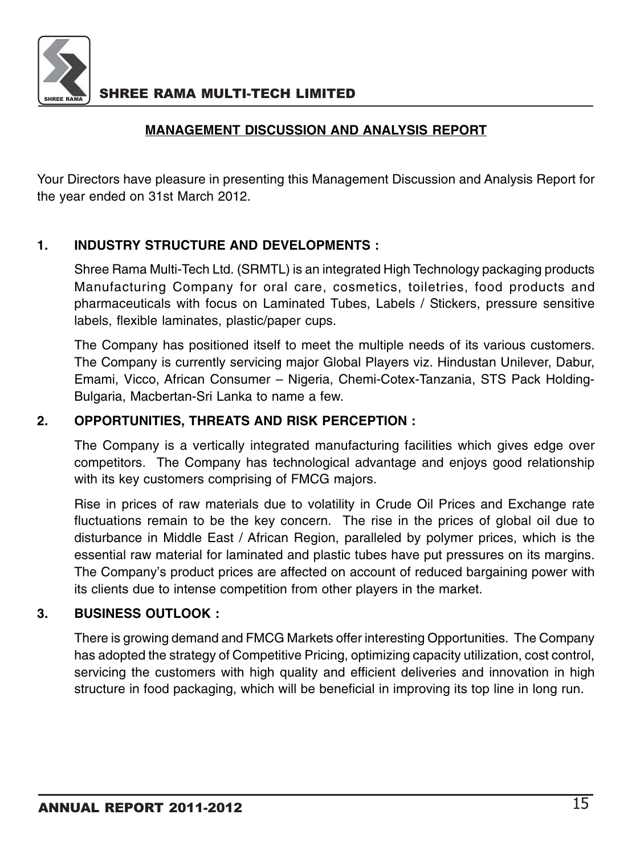

### **MANAGEMENT DISCUSSION AND ANALYSIS REPORT**

Your Directors have pleasure in presenting this Management Discussion and Analysis Report for the year ended on 31st March 2012.

### **1. INDUSTRY STRUCTURE AND DEVELOPMENTS :**

Shree Rama Multi-Tech Ltd. (SRMTL) is an integrated High Technology packaging products Manufacturing Company for oral care, cosmetics, toiletries, food products and pharmaceuticals with focus on Laminated Tubes, Labels / Stickers, pressure sensitive labels, flexible laminates, plastic/paper cups.

The Company has positioned itself to meet the multiple needs of its various customers. The Company is currently servicing major Global Players viz. Hindustan Unilever, Dabur, Emami, Vicco, African Consumer – Nigeria, Chemi-Cotex-Tanzania, STS Pack Holding-Bulgaria, Macbertan-Sri Lanka to name a few.

### **2. OPPORTUNITIES, THREATS AND RISK PERCEPTION :**

The Company is a vertically integrated manufacturing facilities which gives edge over competitors. The Company has technological advantage and enjoys good relationship with its key customers comprising of FMCG majors.

Rise in prices of raw materials due to volatility in Crude Oil Prices and Exchange rate fluctuations remain to be the key concern. The rise in the prices of global oil due to disturbance in Middle East / African Region, paralleled by polymer prices, which is the essential raw material for laminated and plastic tubes have put pressures on its margins. The Company's product prices are affected on account of reduced bargaining power with its clients due to intense competition from other players in the market.

### **3. BUSINESS OUTLOOK :**

There is growing demand and FMCG Markets offer interesting Opportunities. The Company has adopted the strategy of Competitive Pricing, optimizing capacity utilization, cost control, servicing the customers with high quality and efficient deliveries and innovation in high structure in food packaging, which will be beneficial in improving its top line in long run.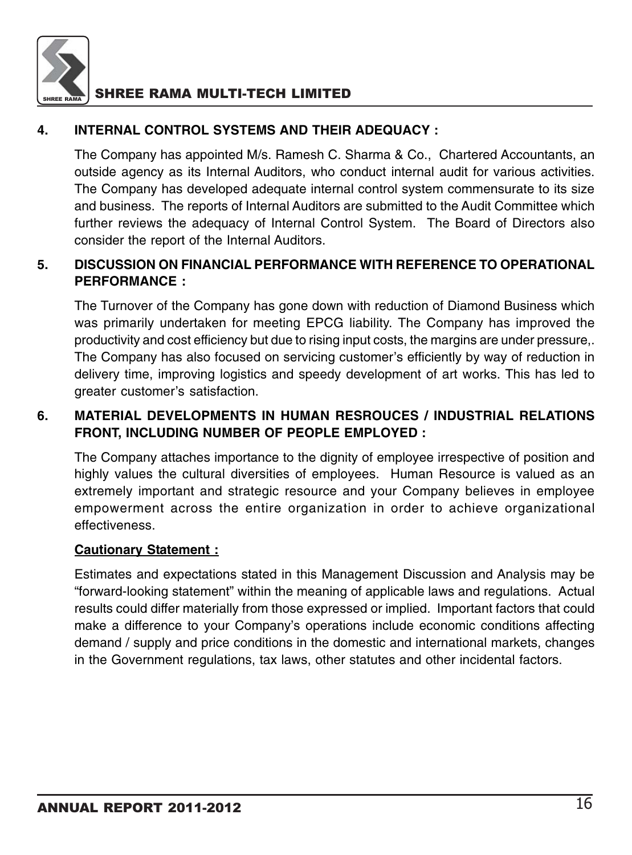

### **4. INTERNAL CONTROL SYSTEMS AND THEIR ADEQUACY :**

The Company has appointed M/s. Ramesh C. Sharma & Co., Chartered Accountants, an outside agency as its Internal Auditors, who conduct internal audit for various activities. The Company has developed adequate internal control system commensurate to its size and business. The reports of Internal Auditors are submitted to the Audit Committee which further reviews the adequacy of Internal Control System. The Board of Directors also consider the report of the Internal Auditors.

### **5. DISCUSSION ON FINANCIAL PERFORMANCE WITH REFERENCE TO OPERATIONAL PERFORMANCE :**

The Turnover of the Company has gone down with reduction of Diamond Business which was primarily undertaken for meeting EPCG liability. The Company has improved the productivity and cost efficiency but due to rising input costs, the margins are under pressure,. The Company has also focused on servicing customer's efficiently by way of reduction in delivery time, improving logistics and speedy development of art works. This has led to greater customer's satisfaction.

### **6. MATERIAL DEVELOPMENTS IN HUMAN RESROUCES / INDUSTRIAL RELATIONS FRONT, INCLUDING NUMBER OF PEOPLE EMPLOYED :**

The Company attaches importance to the dignity of employee irrespective of position and highly values the cultural diversities of employees. Human Resource is valued as an extremely important and strategic resource and your Company believes in employee empowerment across the entire organization in order to achieve organizational effectiveness.

### **Cautionary Statement :**

Estimates and expectations stated in this Management Discussion and Analysis may be "forward-looking statement" within the meaning of applicable laws and regulations. Actual results could differ materially from those expressed or implied. Important factors that could make a difference to your Company's operations include economic conditions affecting demand / supply and price conditions in the domestic and international markets, changes in the Government regulations, tax laws, other statutes and other incidental factors.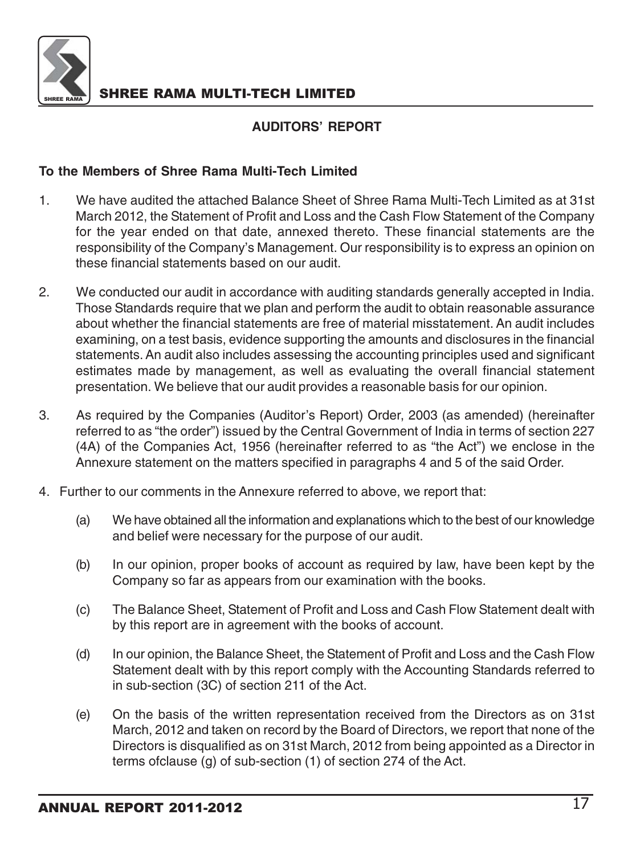

### **AUDITORS' REPORT**

### **To the Members of Shree Rama Multi-Tech Limited**

- 1. We have audited the attached Balance Sheet of Shree Rama Multi-Tech Limited as at 31st March 2012, the Statement of Profit and Loss and the Cash Flow Statement of the Company for the year ended on that date, annexed thereto. These financial statements are the responsibility of the Company's Management. Our responsibility is to express an opinion on these financial statements based on our audit.
- 2. We conducted our audit in accordance with auditing standards generally accepted in India. Those Standards require that we plan and perform the audit to obtain reasonable assurance about whether the financial statements are free of material misstatement. An audit includes examining, on a test basis, evidence supporting the amounts and disclosures in the financial statements. An audit also includes assessing the accounting principles used and significant estimates made by management, as well as evaluating the overall financial statement presentation. We believe that our audit provides a reasonable basis for our opinion.
- 3. As required by the Companies (Auditor's Report) Order, 2003 (as amended) (hereinafter referred to as "the order") issued by the Central Government of India in terms of section 227 (4A) of the Companies Act, 1956 (hereinafter referred to as "the Act") we enclose in the Annexure statement on the matters specified in paragraphs 4 and 5 of the said Order.
- 4. Further to our comments in the Annexure referred to above, we report that:
	- (a) We have obtained all the information and explanations which to the best of our knowledge and belief were necessary for the purpose of our audit.
	- (b) In our opinion, proper books of account as required by law, have been kept by the Company so far as appears from our examination with the books.
	- (c) The Balance Sheet, Statement of Profit and Loss and Cash Flow Statement dealt with by this report are in agreement with the books of account.
	- (d) In our opinion, the Balance Sheet, the Statement of Profit and Loss and the Cash Flow Statement dealt with by this report comply with the Accounting Standards referred to in sub-section (3C) of section 211 of the Act.
	- (e) On the basis of the written representation received from the Directors as on 31st March, 2012 and taken on record by the Board of Directors, we report that none of the Directors is disqualified as on 31st March, 2012 from being appointed as a Director in terms ofclause (g) of sub-section (1) of section 274 of the Act.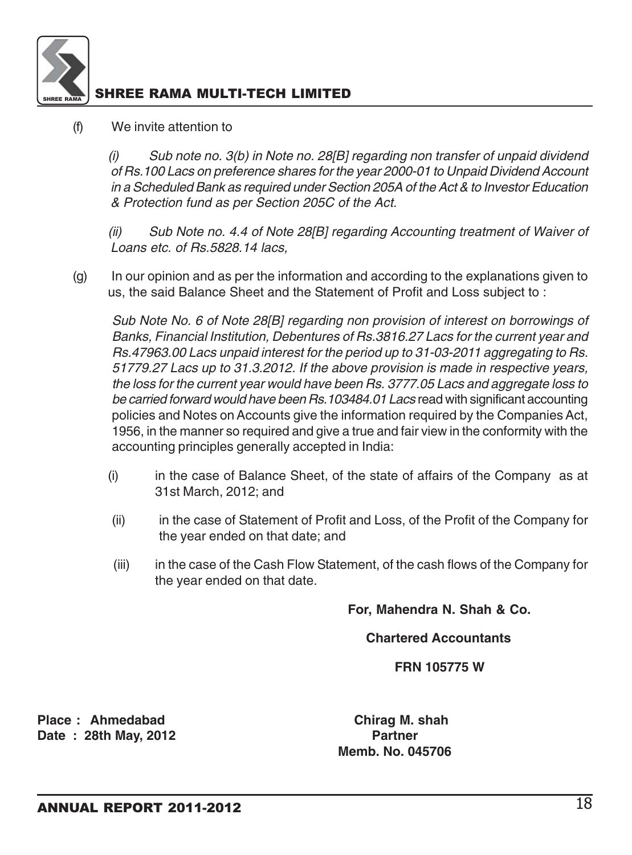

### (f) We invite attention to

(i) Sub note no. 3(b) in Note no. 28[B] regarding non transfer of unpaid dividend of Rs.100 Lacs on preference shares for the year 2000-01 to Unpaid Dividend Account in a Scheduled Bank as required under Section 205A of the Act & to Investor Education & Protection fund as per Section 205C of the Act.

(ii) Sub Note no. 4.4 of Note 28[B] regarding Accounting treatment of Waiver of Loans etc. of Rs.5828.14 lacs,

(g) In our opinion and as per the information and according to the explanations given to us, the said Balance Sheet and the Statement of Profit and Loss subject to :

Sub Note No. 6 of Note 28[B] regarding non provision of interest on borrowings of Banks, Financial Institution, Debentures of Rs.3816.27 Lacs for the current year and Rs.47963.00 Lacs unpaid interest for the period up to 31-03-2011 aggregating to Rs. 51779.27 Lacs up to 31.3.2012. If the above provision is made in respective years, the loss for the current year would have been Rs. 3777.05 Lacs and aggregate loss to be carried forward would have been Rs.103484.01 Lacs read with significant accounting policies and Notes on Accounts give the information required by the Companies Act, 1956, in the manner so required and give a true and fair view in the conformity with the accounting principles generally accepted in India:

- (i) in the case of Balance Sheet, of the state of affairs of the Company as at 31st March, 2012; and
- (ii) in the case of Statement of Profit and Loss, of the Profit of the Company for the year ended on that date; and
- (iii) in the case of the Cash Flow Statement, of the cash flows of the Company for the year ended on that date.

**For, Mahendra N. Shah & Co.**

 **Chartered Accountants**

 **FRN 105775 W**

Place : Ahmedabad **Chirag M. shah**<br>Date : 28th May 2012 **Date : 28th May, 2012** 

 **Memb. No. 045706**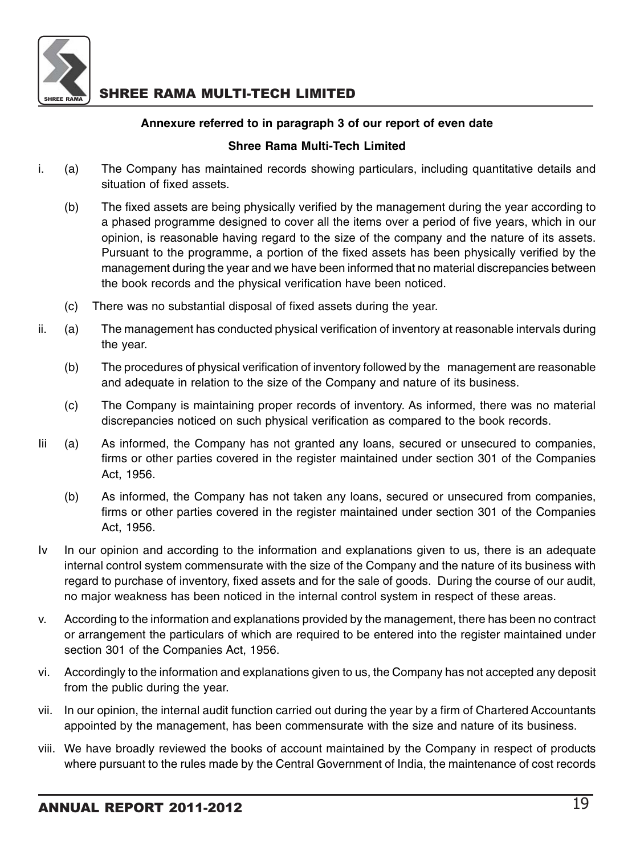

### **Annexure referred to in paragraph 3 of our report of even date**

### **Shree Rama Multi-Tech Limited**

- i. (a) The Company has maintained records showing particulars, including quantitative details and situation of fixed assets.
	- (b) The fixed assets are being physically verified by the management during the year according to a phased programme designed to cover all the items over a period of five years, which in our opinion, is reasonable having regard to the size of the company and the nature of its assets. Pursuant to the programme, a portion of the fixed assets has been physically verified by the management during the year and we have been informed that no material discrepancies between the book records and the physical verification have been noticed.
	- (c) There was no substantial disposal of fixed assets during the year.
- ii. (a) The management has conducted physical verification of inventory at reasonable intervals during the year.
	- (b) The procedures of physical verification of inventory followed by the management are reasonable and adequate in relation to the size of the Company and nature of its business.
	- (c) The Company is maintaining proper records of inventory. As informed, there was no material discrepancies noticed on such physical verification as compared to the book records.
- Iii (a) As informed, the Company has not granted any loans, secured or unsecured to companies, firms or other parties covered in the register maintained under section 301 of the Companies Act, 1956.
	- (b) As informed, the Company has not taken any loans, secured or unsecured from companies, firms or other parties covered in the register maintained under section 301 of the Companies Act, 1956.
- Iv In our opinion and according to the information and explanations given to us, there is an adequate internal control system commensurate with the size of the Company and the nature of its business with regard to purchase of inventory, fixed assets and for the sale of goods. During the course of our audit, no major weakness has been noticed in the internal control system in respect of these areas.
- v. According to the information and explanations provided by the management, there has been no contract or arrangement the particulars of which are required to be entered into the register maintained under section 301 of the Companies Act, 1956.
- vi. Accordingly to the information and explanations given to us, the Company has not accepted any deposit from the public during the year.
- vii. In our opinion, the internal audit function carried out during the year by a firm of Chartered Accountants appointed by the management, has been commensurate with the size and nature of its business.
- viii. We have broadly reviewed the books of account maintained by the Company in respect of products where pursuant to the rules made by the Central Government of India, the maintenance of cost records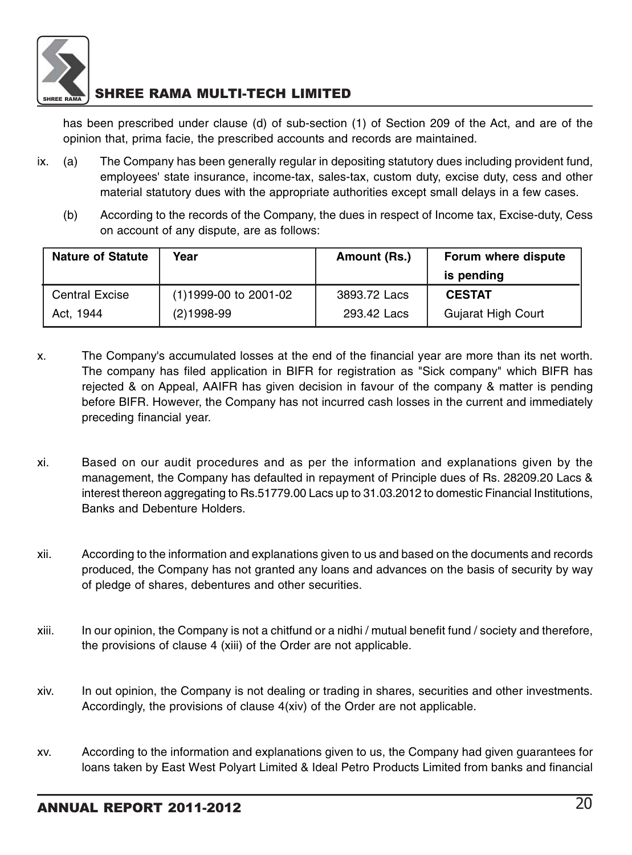

has been prescribed under clause (d) of sub-section (1) of Section 209 of the Act, and are of the opinion that, prima facie, the prescribed accounts and records are maintained.

- ix. (a) The Company has been generally regular in depositing statutory dues including provident fund, employees' state insurance, income-tax, sales-tax, custom duty, excise duty, cess and other material statutory dues with the appropriate authorities except small delays in a few cases.
	- (b) According to the records of the Company, the dues in respect of Income tax, Excise-duty, Cess on account of any dispute, are as follows:

| <b>Nature of Statute</b> | Year                    | Amount (Rs.) | Forum where dispute |
|--------------------------|-------------------------|--------------|---------------------|
|                          |                         |              | is pending          |
| <b>Central Excise</b>    | $(1)1999-00$ to 2001-02 | 3893.72 Lacs | <b>CESTAT</b>       |
| Act. 1944                | $(2)1998-99$            | 293.42 Lacs  | Gujarat High Court  |

- x. The Company's accumulated losses at the end of the financial year are more than its net worth. The company has filed application in BIFR for registration as "Sick company" which BIFR has rejected & on Appeal, AAIFR has given decision in favour of the company & matter is pending before BIFR. However, the Company has not incurred cash losses in the current and immediately preceding financial year.
- xi. Based on our audit procedures and as per the information and explanations given by the management, the Company has defaulted in repayment of Principle dues of Rs. 28209.20 Lacs & interest thereon aggregating to Rs.51779.00 Lacs up to 31.03.2012 to domestic Financial Institutions, Banks and Debenture Holders.
- xii. According to the information and explanations given to us and based on the documents and records produced, the Company has not granted any loans and advances on the basis of security by way of pledge of shares, debentures and other securities.
- xiii. In our opinion, the Company is not a chitfund or a nidhi / mutual benefit fund / society and therefore, the provisions of clause 4 (xiii) of the Order are not applicable.
- xiv. In out opinion, the Company is not dealing or trading in shares, securities and other investments. Accordingly, the provisions of clause 4(xiv) of the Order are not applicable.
- xv. According to the information and explanations given to us, the Company had given guarantees for loans taken by East West Polyart Limited & Ideal Petro Products Limited from banks and financial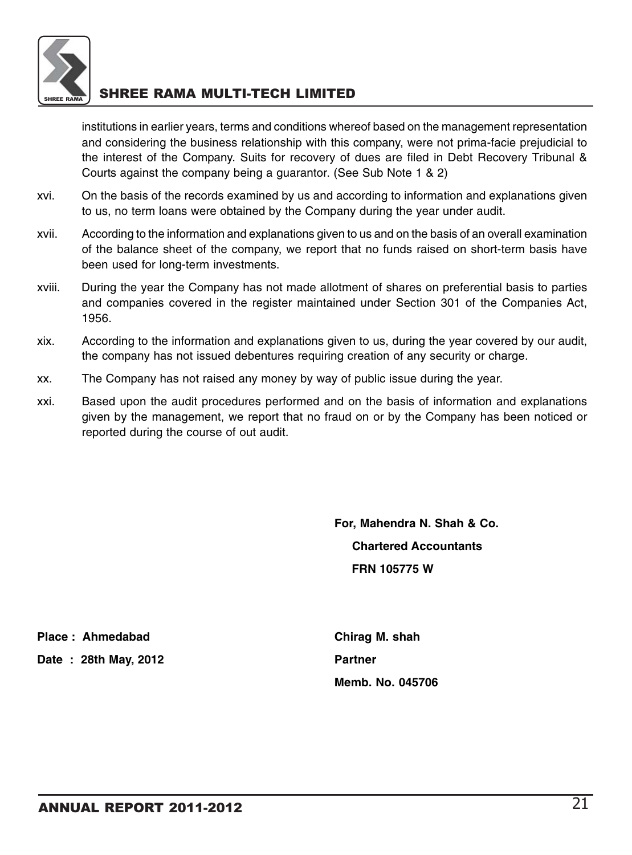

institutions in earlier years, terms and conditions whereof based on the management representation and considering the business relationship with this company, were not prima-facie prejudicial to the interest of the Company. Suits for recovery of dues are filed in Debt Recovery Tribunal & Courts against the company being a guarantor. (See Sub Note 1 & 2)

- xvi. On the basis of the records examined by us and according to information and explanations given to us, no term loans were obtained by the Company during the year under audit.
- xvii. According to the information and explanations given to us and on the basis of an overall examination of the balance sheet of the company, we report that no funds raised on short-term basis have been used for long-term investments.
- xviii. During the year the Company has not made allotment of shares on preferential basis to parties and companies covered in the register maintained under Section 301 of the Companies Act, 1956.
- xix. According to the information and explanations given to us, during the year covered by our audit, the company has not issued debentures requiring creation of any security or charge.
- xx. The Company has not raised any money by way of public issue during the year.
- xxi. Based upon the audit procedures performed and on the basis of information and explanations given by the management, we report that no fraud on or by the Company has been noticed or reported during the course of out audit.

**For, Mahendra N. Shah & Co. Chartered Accountants FRN 105775 W**

Place : Ahmedabad **Chirag M. shah** 

**Date : 28th May, 2012 Partner**

**Memb. No. 045706**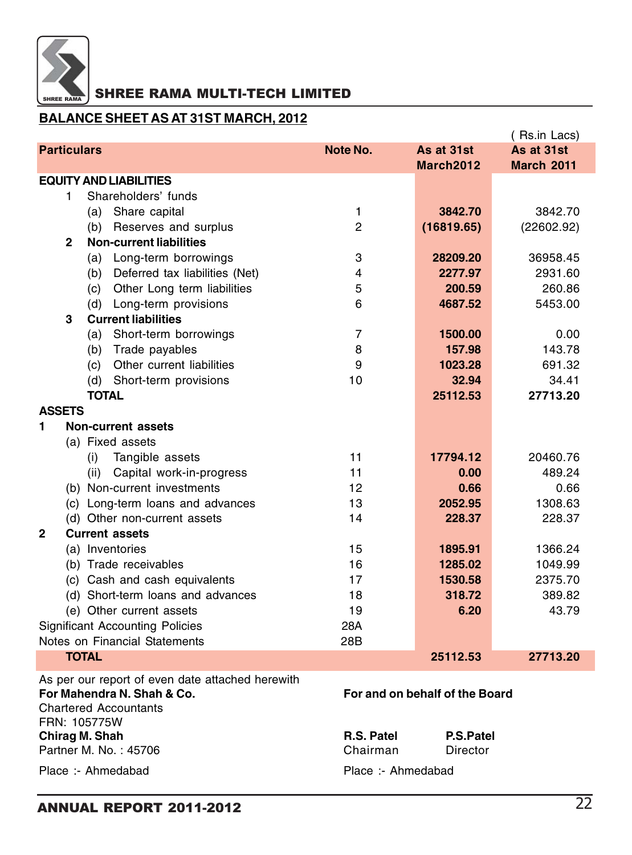

### **BALANCE SHEET AS AT 31ST MARCH, 2012**

|                    |              |                |                                                  |                |                                | (Rs.in Lacs)      |
|--------------------|--------------|----------------|--------------------------------------------------|----------------|--------------------------------|-------------------|
| <b>Particulars</b> |              |                |                                                  | Note No.       | As at 31st                     | As at 31st        |
|                    |              |                |                                                  |                | March2012                      | <b>March 2011</b> |
|                    |              |                | <b>EQUITY AND LIABILITIES</b>                    |                |                                |                   |
|                    | 1            |                | Shareholders' funds                              |                |                                |                   |
|                    |              |                | (a) Share capital                                | 1              | 3842.70                        | 3842.70           |
|                    |              | (b)            | Reserves and surplus                             | $\overline{c}$ | (16819.65)                     | (22602.92)        |
|                    | $\mathbf{2}$ |                | <b>Non-current liabilities</b>                   |                |                                |                   |
|                    |              | (a)            | Long-term borrowings                             | 3              | 28209.20                       | 36958.45          |
|                    |              | (b)            | Deferred tax liabilities (Net)                   | 4              | 2277.97                        | 2931.60           |
|                    |              | (c)            | Other Long term liabilities                      | 5              | 200.59                         | 260.86            |
|                    |              |                | (d) Long-term provisions                         | 6              | 4687.52                        | 5453.00           |
|                    | 3            |                | <b>Current liabilities</b>                       |                |                                |                   |
|                    |              | (a)            | Short-term borrowings                            | 7              | 1500.00                        | 0.00              |
|                    |              | (b)            | Trade payables                                   | 8              | 157.98                         | 143.78            |
|                    |              | (c)            | Other current liabilities                        | 9              | 1023.28                        | 691.32            |
|                    |              |                | (d) Short-term provisions                        | 10             | 32.94                          | 34.41             |
|                    |              | <b>TOTAL</b>   |                                                  |                | 25112.53                       | 27713.20          |
| <b>ASSETS</b>      |              |                |                                                  |                |                                |                   |
| 1                  |              |                | <b>Non-current assets</b>                        |                |                                |                   |
|                    |              |                | (a) Fixed assets                                 |                |                                |                   |
|                    |              | (i)            | Tangible assets                                  | 11             | 17794.12                       | 20460.76          |
|                    |              | (ii)           | Capital work-in-progress                         | 11             | 0.00                           | 489.24            |
|                    |              |                | (b) Non-current investments                      | 12             | 0.66                           | 0.66              |
|                    |              |                | (c) Long-term loans and advances                 | 13             | 2052.95                        | 1308.63           |
|                    |              |                | (d) Other non-current assets                     | 14             | 228.37                         | 228.37            |
| $\overline{2}$     |              |                | <b>Current assets</b>                            |                |                                |                   |
|                    |              |                | (a) Inventories                                  | 15             | 1895.91                        | 1366.24           |
|                    |              |                | (b) Trade receivables                            | 16             | 1285.02                        | 1049.99           |
|                    |              |                | (c) Cash and cash equivalents                    | 17             | 1530.58                        | 2375.70           |
|                    |              |                | (d) Short-term loans and advances                | 18             | 318.72                         | 389.82            |
|                    |              |                | (e) Other current assets                         | 19             | 6.20                           | 43.79             |
|                    |              |                | <b>Significant Accounting Policies</b>           | 28A            |                                |                   |
|                    |              |                | Notes on Financial Statements                    | 28B            |                                |                   |
|                    |              | <b>TOTAL</b>   |                                                  |                | 25112.53                       | 27713.20          |
|                    |              |                | As per our report of even date attached herewith |                |                                |                   |
|                    |              |                | For Mahendra N. Shah & Co.                       |                | For and on behalf of the Board |                   |
|                    |              |                | <b>Chartered Accountants</b>                     |                |                                |                   |
|                    |              | FRN: 105775W   |                                                  |                |                                |                   |
|                    |              | Chirag M. Shah |                                                  | R.S. Patel     | P.S.Patel                      |                   |
|                    |              |                | Partner M. No.: 45706                            | Chairman       | Director                       |                   |

Place :- Ahmedabad Place :- Ahmedabad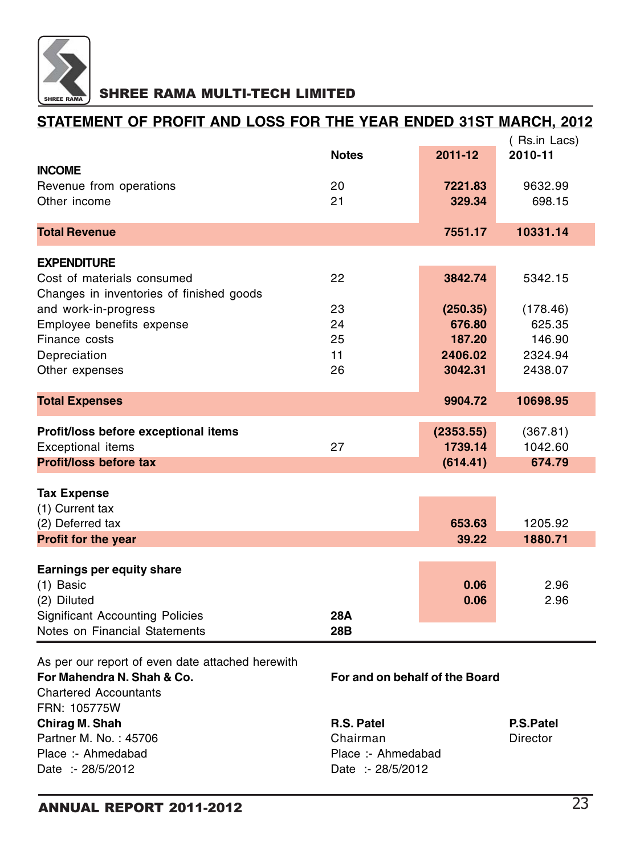

## **STATEMENT OF PROFIT AND LOSS FOR THE YEAR ENDED 31ST MARCH, 2012**

| 2011-12<br>2010-11<br><b>Notes</b><br><b>INCOME</b><br>20<br>7221.83<br>9632.99<br>Revenue from operations<br>21<br>Other income<br>329.34<br>698.15<br><b>Total Revenue</b><br>10331.14<br>7551.17 |  |  |
|-----------------------------------------------------------------------------------------------------------------------------------------------------------------------------------------------------|--|--|
|                                                                                                                                                                                                     |  |  |
|                                                                                                                                                                                                     |  |  |
|                                                                                                                                                                                                     |  |  |
|                                                                                                                                                                                                     |  |  |
|                                                                                                                                                                                                     |  |  |
|                                                                                                                                                                                                     |  |  |
| <b>EXPENDITURE</b>                                                                                                                                                                                  |  |  |
| 22<br>3842.74<br>Cost of materials consumed<br>5342.15                                                                                                                                              |  |  |
| Changes in inventories of finished goods                                                                                                                                                            |  |  |
| and work-in-progress<br>23<br>(250.35)<br>(178.46)                                                                                                                                                  |  |  |
| Employee benefits expense<br>24<br>676.80<br>625.35                                                                                                                                                 |  |  |
| 25<br>Finance costs<br>187.20<br>146.90                                                                                                                                                             |  |  |
| Depreciation<br>11<br>2406.02<br>2324.94                                                                                                                                                            |  |  |
| Other expenses<br>26<br>3042.31<br>2438.07                                                                                                                                                          |  |  |
|                                                                                                                                                                                                     |  |  |
| <b>Total Expenses</b><br>9904.72<br>10698.95                                                                                                                                                        |  |  |
| Profit/loss before exceptional items<br>(2353.55)<br>(367.81)                                                                                                                                       |  |  |
| 1739.14<br>1042.60<br><b>Exceptional items</b><br>27                                                                                                                                                |  |  |
| <b>Profit/loss before tax</b><br>674.79<br>(614.41)                                                                                                                                                 |  |  |
| <b>Tax Expense</b>                                                                                                                                                                                  |  |  |
| (1) Current tax                                                                                                                                                                                     |  |  |
| (2) Deferred tax<br>653.63<br>1205.92                                                                                                                                                               |  |  |
| Profit for the year<br>39.22<br>1880.71                                                                                                                                                             |  |  |
|                                                                                                                                                                                                     |  |  |
| Earnings per equity share                                                                                                                                                                           |  |  |
| 0.06<br>(1) Basic<br>2.96                                                                                                                                                                           |  |  |
| (2) Diluted<br>0.06<br>2.96                                                                                                                                                                         |  |  |
| <b>Significant Accounting Policies</b><br>28A                                                                                                                                                       |  |  |
| Notes on Financial Statements<br>28B                                                                                                                                                                |  |  |
|                                                                                                                                                                                                     |  |  |

As per our report of even date attached herewith **For Mahendra N. Shah & Co. For and on behalf of the Board** Chartered Accountants FRN: 105775W **Chirag M. Shah R.S. Patel P.S. Patel P.S. Patel P.S. Patel P.S. Patel P.S. Patel P.S. Patel P.S. Patel P.S. Patel P.S. Patel P.S. Patel P.S. Patel P.S. Patel P.S. Patel P.S. Patel P.S. Patel P.S. Patel P.S. Patel P.S. Pat** 

Partner M. No. : 45706 **Chairman** Director Place :- Ahmedabad Place :- Ahmedabad Date :- 28/5/2012 Date :- 28/5/2012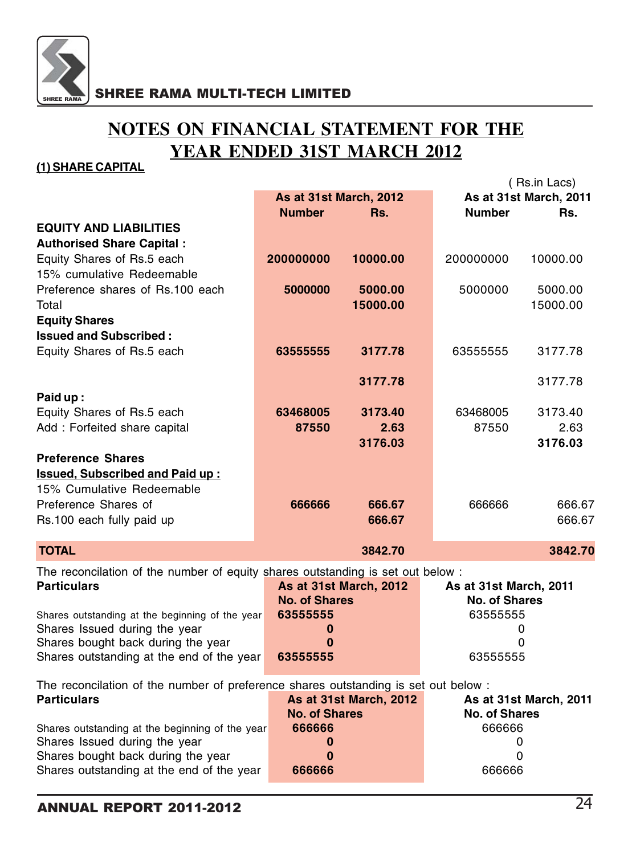

# **NOTES ON FINANCIAL STATEMENT FOR THE YEAR ENDED 31ST MARCH 2012**

### **(1) SHARE CAPITAL**

|                                                                                     |                        |                        |                        | (Rs.in Lacs)           |
|-------------------------------------------------------------------------------------|------------------------|------------------------|------------------------|------------------------|
|                                                                                     | As at 31st March, 2012 |                        |                        | As at 31st March, 2011 |
|                                                                                     | <b>Number</b>          | Rs.                    | <b>Number</b>          | Rs.                    |
| <b>EQUITY AND LIABILITIES</b>                                                       |                        |                        |                        |                        |
| <b>Authorised Share Capital:</b>                                                    |                        |                        |                        |                        |
| Equity Shares of Rs.5 each                                                          | 200000000              | 10000.00               | 200000000              | 10000.00               |
|                                                                                     |                        |                        |                        |                        |
| 15% cumulative Redeemable                                                           |                        |                        |                        |                        |
| Preference shares of Rs.100 each                                                    | 5000000                | 5000.00                | 5000000                | 5000.00                |
| Total                                                                               |                        | 15000.00               |                        | 15000.00               |
| <b>Equity Shares</b>                                                                |                        |                        |                        |                        |
| <b>Issued and Subscribed:</b>                                                       |                        |                        |                        |                        |
| Equity Shares of Rs.5 each                                                          | 63555555               | 3177.78                | 63555555               | 3177.78                |
|                                                                                     |                        |                        |                        |                        |
|                                                                                     |                        | 3177.78                |                        | 3177.78                |
| Paid up:                                                                            |                        |                        |                        |                        |
| Equity Shares of Rs.5 each                                                          | 63468005               | 3173.40                | 63468005               | 3173.40                |
|                                                                                     |                        |                        |                        |                        |
| Add: Forfeited share capital                                                        | 87550                  | 2.63                   | 87550                  | 2.63                   |
|                                                                                     |                        | 3176.03                |                        | 3176.03                |
| <b>Preference Shares</b>                                                            |                        |                        |                        |                        |
| <b>Issued, Subscribed and Paid up:</b>                                              |                        |                        |                        |                        |
| 15% Cumulative Redeemable                                                           |                        |                        |                        |                        |
| Preference Shares of                                                                | 666666                 | 666.67                 | 666666                 | 666.67                 |
| Rs.100 each fully paid up                                                           |                        | 666.67                 |                        | 666.67                 |
|                                                                                     |                        |                        |                        |                        |
| <b>TOTAL</b>                                                                        |                        | 3842.70                |                        | 3842.70                |
| The reconcilation of the number of equity shares outstanding is set out below :     |                        |                        |                        |                        |
| <b>Particulars</b>                                                                  |                        | As at 31st March, 2012 | As at 31st March, 2011 |                        |
|                                                                                     | <b>No. of Shares</b>   |                        | <b>No. of Shares</b>   |                        |
| Shares outstanding at the beginning of the year                                     | 63555555               |                        | 63555555               |                        |
| Shares Issued during the year                                                       | 0                      |                        |                        | 0                      |
| Shares bought back during the year                                                  | $\bf{0}$               |                        |                        | 0                      |
| Shares outstanding at the end of the year                                           | 63555555               |                        | 63555555               |                        |
|                                                                                     |                        |                        |                        |                        |
| The reconcilation of the number of preference shares outstanding is set out below : |                        |                        |                        |                        |
| <b>Particulars</b>                                                                  |                        | As at 31st March, 2012 |                        | As at 31st March, 2011 |
|                                                                                     | <b>No. of Shares</b>   |                        | <b>No. of Shares</b>   |                        |
| Shares outstanding at the beginning of the year                                     | 666666                 |                        | 666666                 |                        |
| Shares Issued during the year                                                       | 0                      |                        | 0                      |                        |
| Shares bought back during the year                                                  | $\bf{0}$               |                        | 0                      |                        |
| Shares outstanding at the end of the year                                           | 666666                 |                        | 666666                 |                        |
|                                                                                     |                        |                        |                        |                        |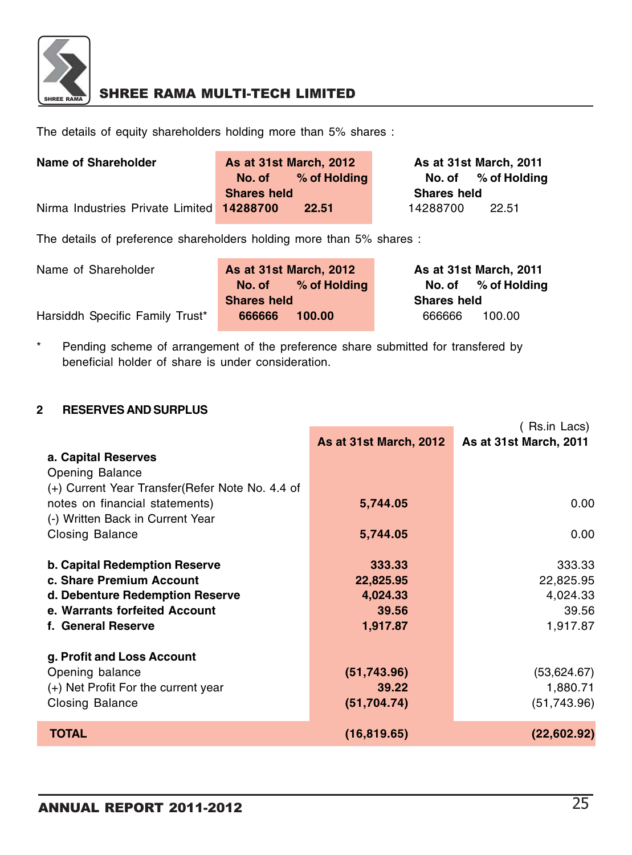

The details of equity shareholders holding more than 5% shares :

| Name of Shareholder                       | As at 31st March, 2012 |              | As at 31st March, 2011 |                     |
|-------------------------------------------|------------------------|--------------|------------------------|---------------------|
|                                           | No. of                 | % of Holding |                        | No. of % of Holding |
|                                           | <b>Shares held</b>     |              | <b>Shares held</b>     |                     |
| Nirma Industries Private Limited 14288700 |                        | 22.51        | 14288700               | 22.51               |

The details of preference shareholders holding more than 5% shares :

| Name of Shareholder             | As at 31st March, 2012 |                     | As at 31st March, 2011 |                     |
|---------------------------------|------------------------|---------------------|------------------------|---------------------|
|                                 |                        | No. of % of Holding |                        | No. of % of Holding |
|                                 | <b>Shares held</b>     |                     | <b>Shares held</b>     |                     |
| Harsiddh Specific Family Trust* | 666666                 | 100.00              | 666666                 | 100.00              |

\* Pending scheme of arrangement of the preference share submitted for transfered by beneficial holder of share is under consideration.

### **2 RESERVES AND SURPLUS**

|                                                  |                        | ( Rs.in Lacs)          |
|--------------------------------------------------|------------------------|------------------------|
|                                                  | As at 31st March, 2012 | As at 31st March, 2011 |
| a. Capital Reserves                              |                        |                        |
| Opening Balance                                  |                        |                        |
| (+) Current Year Transfer (Refer Note No. 4.4 of |                        |                        |
| notes on financial statements)                   | 5,744.05               | 0.00                   |
| (-) Written Back in Current Year                 |                        |                        |
| Closing Balance                                  | 5,744.05               | 0.00                   |
|                                                  |                        |                        |
| <b>b. Capital Redemption Reserve</b>             | 333.33                 | 333.33                 |
| c. Share Premium Account                         | 22,825.95              | 22,825.95              |
| d. Debenture Redemption Reserve                  | 4,024.33               | 4,024.33               |
| e. Warrants forfeited Account                    | 39.56                  | 39.56                  |
| f. General Reserve                               | 1,917.87               | 1,917.87               |
|                                                  |                        |                        |
| g. Profit and Loss Account                       |                        |                        |
| Opening balance                                  | (51,743.96)            | (53,624.67)            |
| (+) Net Profit For the current year              | 39.22                  | 1,880.71               |
| Closing Balance                                  | (51, 704.74)           | (51,743.96)            |
|                                                  |                        |                        |
| <b>TOTAL</b>                                     | (16, 819.65)           | (22,602.92)            |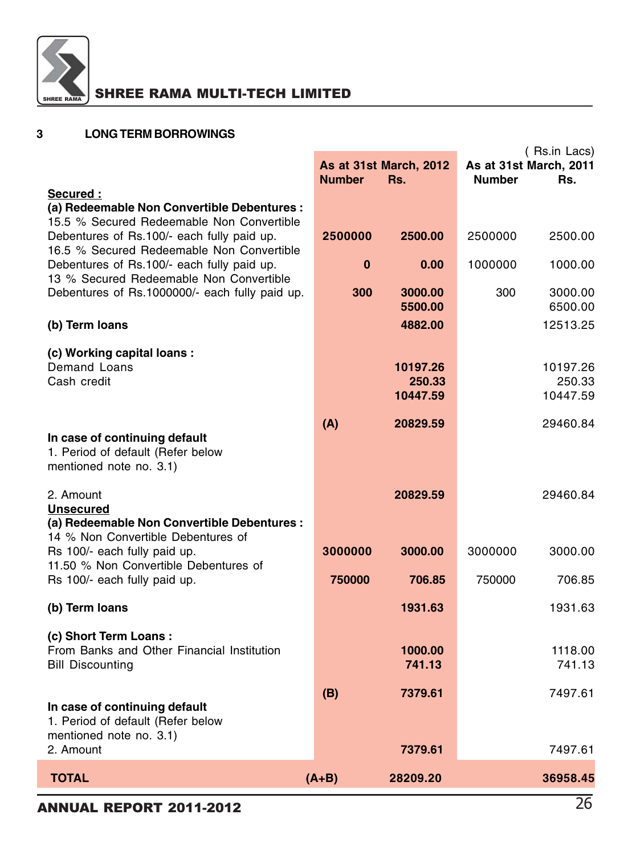

| 3 | <b>LONG TERM BORROWINGS</b> |
|---|-----------------------------|
|---|-----------------------------|

### (Rs.in Lacs)<br>**As at 31st March, 2011 As at 31st March, 2012 Number Rs. Number Rs. Secured : (a) Redeemable Non Convertible Debentures :** 15.5 % Secured Redeemable Non Convertible Debentures of Rs.100/- each fully paid up. **2500000 2500.00** 2500000 2500.00 16.5 % Secured Redeemable Non Convertible Debentures of Rs.100/- each fully paid up. **0 0.00** 1000000 1000.00 13 % Secured Redeemable Non Convertible Debentures of Rs.1000000/- each fully paid up. **300 3000.00** 300 3000.00 **5500.00** 6500.00 **(b) Term loans 4882.00** 12513.25 **(c) Working capital loans :** Demand Loans **10197.26** 10197.26 Cash credit **250.33** 250.33 **10447.59** 10447.59 **(A) 20829.59** 29460.84 **In case of continuing default** 1. Period of default (Refer below mentioned note no. 3.1) 2. Amount **20829.59** 29460.84 **Unsecured (a) Redeemable Non Convertible Debentures :** 14 % Non Convertible Debentures of Rs 100/- each fully paid up. **3000000 3000.00** 3000000 3000.00 11.50 % Non Convertible Debentures of Rs 100/- each fully paid up. **750000 706.85** 750000 706.85 **(b) Term loans 1931.63** 1931.63 **(c) Short Term Loans :** From Banks and Other Financial Institution **1000.00** 1118.00 Bill Discounting **741.13** 741.13 **(B) 7379.61** 7497.61 **In case of continuing default** 1. Period of default (Refer below mentioned note no. 3.1) 2. Amount **7379.61** 7497.61  **TOTAL (A+B) 28209.20 36958.45**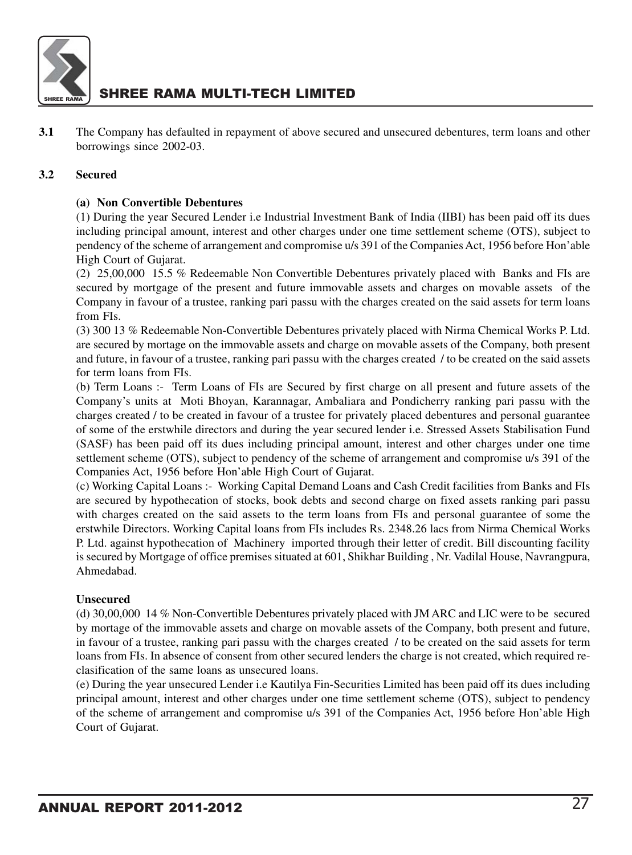

**3.1** The Company has defaulted in repayment of above secured and unsecured debentures, term loans and other borrowings since 2002-03.

#### **3.2 Secured**

#### **(a) Non Convertible Debentures**

(1) During the year Secured Lender i.e Industrial Investment Bank of India (IIBI) has been paid off its dues including principal amount, interest and other charges under one time settlement scheme (OTS), subject to pendency of the scheme of arrangement and compromise u/s 391 of the Companies Act, 1956 before Hon'able High Court of Gujarat.

(2) 25,00,000 15.5 % Redeemable Non Convertible Debentures privately placed with Banks and FIs are secured by mortgage of the present and future immovable assets and charges on movable assets of the Company in favour of a trustee, ranking pari passu with the charges created on the said assets for term loans from FIs.

(3) 300 13 % Redeemable Non-Convertible Debentures privately placed with Nirma Chemical Works P. Ltd. are secured by mortage on the immovable assets and charge on movable assets of the Company, both present and future, in favour of a trustee, ranking pari passu with the charges created / to be created on the said assets for term loans from FIs.

(b) Term Loans :- Term Loans of FIs are Secured by first charge on all present and future assets of the Company's units at Moti Bhoyan, Karannagar, Ambaliara and Pondicherry ranking pari passu with the charges created / to be created in favour of a trustee for privately placed debentures and personal guarantee of some of the erstwhile directors and during the year secured lender i.e. Stressed Assets Stabilisation Fund (SASF) has been paid off its dues including principal amount, interest and other charges under one time settlement scheme (OTS), subject to pendency of the scheme of arrangement and compromise u/s 391 of the Companies Act, 1956 before Hon'able High Court of Gujarat.

(c) Working Capital Loans :- Working Capital Demand Loans and Cash Credit facilities from Banks and FIs are secured by hypothecation of stocks, book debts and second charge on fixed assets ranking pari passu with charges created on the said assets to the term loans from FIs and personal guarantee of some the erstwhile Directors. Working Capital loans from FIs includes Rs. 2348.26 lacs from Nirma Chemical Works P. Ltd. against hypothecation of Machinery imported through their letter of credit. Bill discounting facility is secured by Mortgage of office premises situated at 601, Shikhar Building , Nr. Vadilal House, Navrangpura, Ahmedabad.

#### **Unsecured**

(d) 30,00,000 14 % Non-Convertible Debentures privately placed with JM ARC and LIC were to be secured by mortage of the immovable assets and charge on movable assets of the Company, both present and future, in favour of a trustee, ranking pari passu with the charges created / to be created on the said assets for term loans from FIs. In absence of consent from other secured lenders the charge is not created, which required reclasification of the same loans as unsecured loans.

(e) During the year unsecured Lender i.e Kautilya Fin-Securities Limited has been paid off its dues including principal amount, interest and other charges under one time settlement scheme (OTS), subject to pendency of the scheme of arrangement and compromise u/s 391 of the Companies Act, 1956 before Hon'able High Court of Gujarat.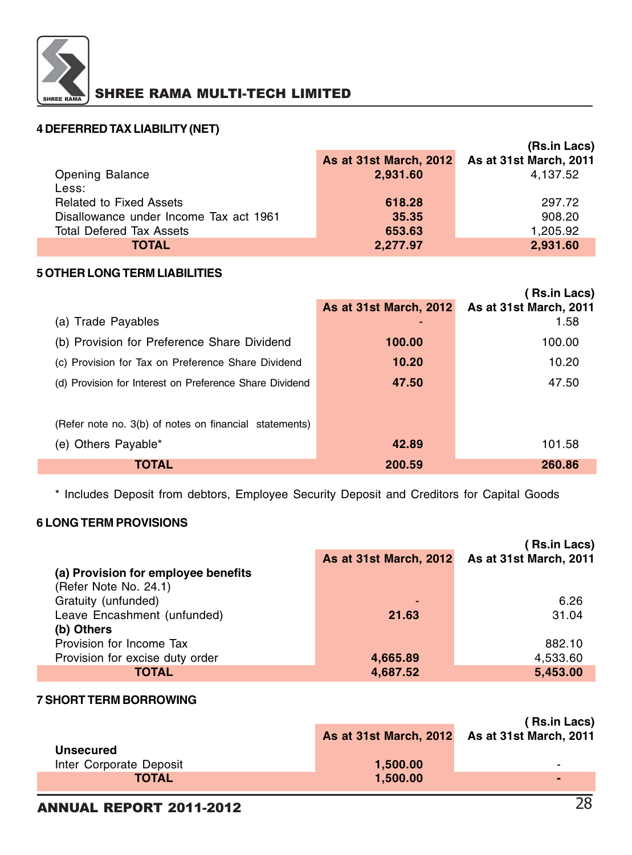

### **4 DEFERRED TAX LIABILITY (NET)**

|                                        |                               | (Rs.in Lacs)                  |
|----------------------------------------|-------------------------------|-------------------------------|
|                                        | <b>As at 31st March, 2012</b> | <b>As at 31st March, 2011</b> |
| <b>Opening Balance</b>                 | 2,931.60                      | 4,137.52                      |
| Less:                                  |                               |                               |
| <b>Related to Fixed Assets</b>         | 618.28                        | 297.72                        |
| Disallowance under Income Tax act 1961 | 35.35                         | 908.20                        |
| Total Defered Tax Assets               | 653.63                        | 1,205.92                      |
| <b>TOTAL</b>                           | 2,277.97                      | 2,931.60                      |

#### **5 OTHER LONG TERM LIABILITIES**

|                                                         |                        | <b>Rs.in Lacs)</b>     |
|---------------------------------------------------------|------------------------|------------------------|
|                                                         | As at 31st March, 2012 | As at 31st March, 2011 |
| (a) Trade Payables                                      |                        | 1.58                   |
| (b) Provision for Preference Share Dividend             | 100.00                 | 100.00                 |
| (c) Provision for Tax on Preference Share Dividend      | 10.20                  | 10.20                  |
| (d) Provision for Interest on Preference Share Dividend | 47.50                  | 47.50                  |
|                                                         |                        |                        |
| (Refer note no. 3(b) of notes on financial statements)  |                        |                        |
| (e) Others Payable*                                     | 42.89                  | 101.58                 |
| TOTAL                                                   | 200.59                 | 260.86                 |

\* Includes Deposit from debtors, Employee Security Deposit and Creditors for Capital Goods

### **6 LONG TERM PROVISIONS**

|                                     |                        | Rs.in Lacs)                   |
|-------------------------------------|------------------------|-------------------------------|
|                                     | As at 31st March, 2012 | <b>As at 31st March, 2011</b> |
| (a) Provision for employee benefits |                        |                               |
| (Refer Note No. 24.1)               |                        |                               |
| Gratuity (unfunded)                 | ٠                      | 6.26                          |
| Leave Encashment (unfunded)         | 21.63                  | 31.04                         |
| (b) Others                          |                        |                               |
| Provision for Income Tax            |                        | 882.10                        |
| Provision for excise duty order     | 4,665.89               | 4,533.60                      |
| TOTAL                               | 4,687.52               | 5,453.00                      |

#### **7 SHORT TERM BORROWING**

|                         |          | (Rs.in Lacs)<br>As at 31st March, 2012 As at 31st March, 2011 |
|-------------------------|----------|---------------------------------------------------------------|
| <b>Unsecured</b>        |          |                                                               |
| Inter Corporate Deposit | 1,500.00 | -                                                             |
| <b>TOTAL</b>            | 1.500.00 |                                                               |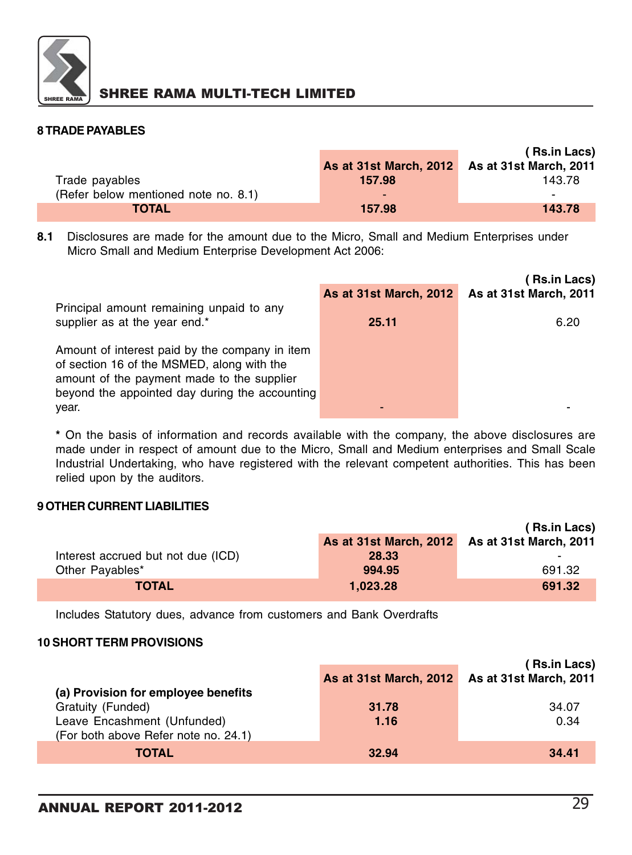

### **8 TRADE PAYABLES**

|                                      |                                               | (Rs.in Lacs) |
|--------------------------------------|-----------------------------------------------|--------------|
|                                      | As at 31st March, 2012 As at 31st March, 2011 |              |
| Trade payables                       | 157.98                                        | 143.78       |
| (Refer below mentioned note no. 8.1) | -                                             | -            |
| <b>TOTAL</b>                         | 157.98                                        | 143.78       |

**8.1** Disclosures are made for the amount due to the Micro, Small and Medium Enterprises under Micro Small and Medium Enterprise Development Act 2006:

|                                                                                                                                                                                              |                        | <b>(Rs.in Lacs)</b>           |
|----------------------------------------------------------------------------------------------------------------------------------------------------------------------------------------------|------------------------|-------------------------------|
|                                                                                                                                                                                              | As at 31st March, 2012 | <b>As at 31st March, 2011</b> |
| Principal amount remaining unpaid to any                                                                                                                                                     |                        |                               |
| supplier as at the year end.*                                                                                                                                                                | 25.11                  | 6.20                          |
| Amount of interest paid by the company in item<br>of section 16 of the MSMED, along with the<br>amount of the payment made to the supplier<br>beyond the appointed day during the accounting |                        |                               |
| year.                                                                                                                                                                                        |                        |                               |

**\*** On the basis of information and records available with the company, the above disclosures are made under in respect of amount due to the Micro, Small and Medium enterprises and Small Scale Industrial Undertaking, who have registered with the relevant competent authorities. This has been relied upon by the auditors.

### **9 OTHER CURRENT LIABILITIES**

|                                    |                                               | (Rs.in Lacs) |
|------------------------------------|-----------------------------------------------|--------------|
|                                    | As at 31st March, 2012 As at 31st March, 2011 |              |
| Interest accrued but not due (ICD) | 28.33                                         | -            |
| Other Payables*                    | 994.95                                        | 691.32       |
| <b>TOTAL</b>                       | 1.023.28                                      | 691.32       |

Includes Statutory dues, advance from customers and Bank Overdrafts

#### **10 SHORT TERM PROVISIONS**

| (a) Provision for employee benefits<br>Gratuity (Funded)<br>Leave Encashment (Unfunded) | As at 31st March, 2012<br>31.78<br>1.16 | (Rs.in Lacs)<br><b>As at 31st March, 2011</b><br>34.07<br>0.34 |
|-----------------------------------------------------------------------------------------|-----------------------------------------|----------------------------------------------------------------|
| (For both above Refer note no. 24.1)<br><b>TOTAL</b>                                    | 32.94                                   | 34.41                                                          |
|                                                                                         |                                         |                                                                |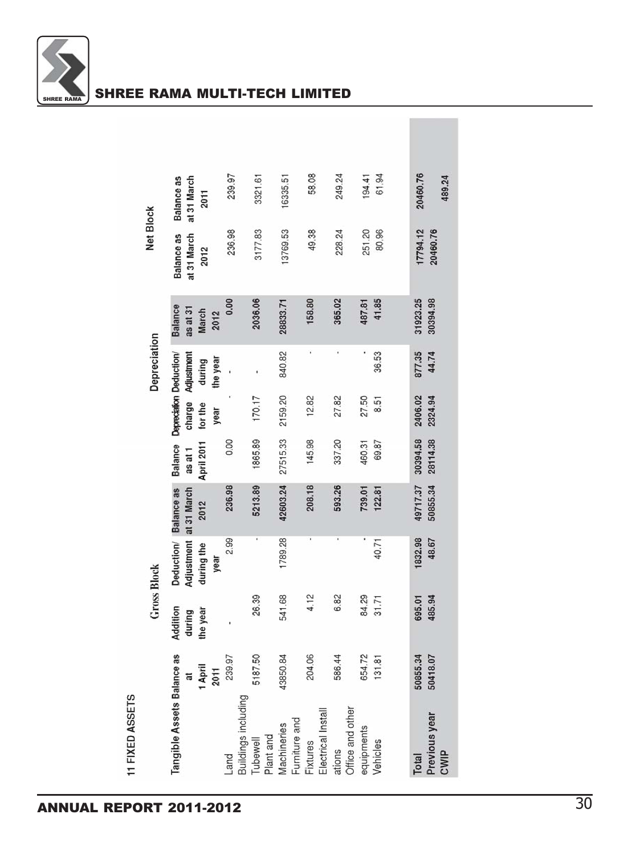

|                 |                    | Balance as<br>at 31 March         | 2011         | 239.97         | 3321.61                                |           | 6335.51     |               | 58.08    |                    | 249.24 |                  | 194.41     | 61.94    | 20460.76 | 489.24                |
|-----------------|--------------------|-----------------------------------|--------------|----------------|----------------------------------------|-----------|-------------|---------------|----------|--------------------|--------|------------------|------------|----------|----------|-----------------------|
|                 | <b>Net Block</b>   | <b>Balance as</b><br>at 31 March  | 2012         | 236.98         | 3177.83                                |           | 13769.53    |               | 49.38    |                    | 228.24 |                  | 251.20     | 80.96    | 17794.12 | 20460.76              |
|                 |                    | <b>Balance</b><br>as at 31        | <b>March</b> | 0.00<br>2012   | 2036.06                                |           | 28833.71    |               | 158.80   |                    | 365.02 |                  | 487.81     | 41.85    | 31923.25 | 30394.98              |
|                 | Depreciation       | Adjustment                        | during       | the year       |                                        |           | 840.82      |               |          |                    |        |                  |            | 36.53    | 877.35   | 44.74                 |
|                 |                    | Depreciation Deduction/<br>charge | for the      | year           | 170.17                                 |           | 2159.20     |               | 12.82    |                    | 27.82  |                  | 27.50      | 8.51     | 2406.02  | 2324.94               |
|                 |                    | Balance<br>as at 1                | April 2011   | 0.00           | 1865.89                                |           | 27515.33    |               | 145.98   |                    | 337.20 |                  | 460.31     | 69.87    | 30394.58 | 28114.38              |
|                 |                    | Deduction/ Balance as             | 2012         | 236.98         | 5213.89                                |           | 42603.24    |               | 208.18   |                    | 593.26 |                  | 739.01     | 122.81   | 19717.37 | 50855.34              |
|                 |                    | Adjustment at 31 March            | during the   | 2.99<br>year   | ۰                                      |           | 1789.28     |               | ×        |                    | ï      |                  | f          | 40.71    | 832.98   | 48.67                 |
|                 | <b>Gross Block</b> | Addition<br>during                | the year     |                | 26.39                                  |           | 541.68      |               | 4.12     |                    | 6.82   |                  | 84.29      | 31.71    | 695.01   | 485.94                |
|                 |                    | ã                                 | April        | 239.97<br>2011 | 5187.50                                |           | 43850.84    |               | 204.06   |                    | 586.44 |                  | 654.72     | 131.81   | 50855.34 | 50418.07              |
| 11 FIXED ASSETS |                    | Tangible Assets Balance as        |              | Land           | Buildings including<br><b>Tubewell</b> | Plant and | Machineries | Furniture and | Fixtures | Electrical Install | ations | Office and other | equipments | Vehicles | Total    | Previous year<br>CWIP |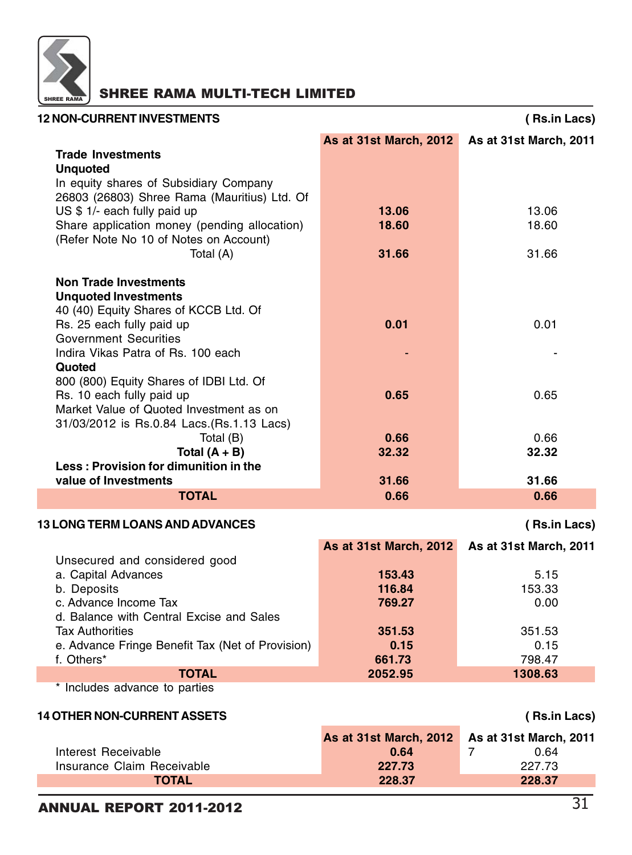

| <b>12 NON-CURRENT INVESTMENTS</b>                                                    |                               | (Rs.in Lacs)           |
|--------------------------------------------------------------------------------------|-------------------------------|------------------------|
|                                                                                      | <b>As at 31st March, 2012</b> | As at 31st March, 2011 |
| <b>Trade Investments</b>                                                             |                               |                        |
| <b>Unquoted</b>                                                                      |                               |                        |
| In equity shares of Subsidiary Company                                               |                               |                        |
| 26803 (26803) Shree Rama (Mauritius) Ltd. Of                                         |                               |                        |
| US \$ 1/- each fully paid up                                                         | 13.06                         | 13.06                  |
| Share application money (pending allocation)                                         | 18.60                         | 18.60                  |
| (Refer Note No 10 of Notes on Account)                                               |                               |                        |
| Total (A)                                                                            | 31.66                         | 31.66                  |
| <b>Non Trade Investments</b>                                                         |                               |                        |
| <b>Unquoted Investments</b>                                                          |                               |                        |
| 40 (40) Equity Shares of KCCB Ltd. Of                                                |                               |                        |
| Rs. 25 each fully paid up                                                            | 0.01                          | 0.01                   |
| <b>Government Securities</b>                                                         |                               |                        |
| Indira Vikas Patra of Rs. 100 each                                                   |                               |                        |
| Quoted                                                                               |                               |                        |
| 800 (800) Equity Shares of IDBI Ltd. Of                                              |                               |                        |
| Rs. 10 each fully paid up                                                            | 0.65                          | 0.65                   |
| Market Value of Quoted Investment as on<br>31/03/2012 is Rs.0.84 Lacs.(Rs.1.13 Lacs) |                               |                        |
| Total (B)                                                                            | 0.66                          | 0.66                   |
| Total $(A + B)$                                                                      | 32.32                         | 32.32                  |
| Less: Provision for dimunition in the                                                |                               |                        |
| value of Investments                                                                 | 31.66                         | 31.66                  |
| <b>TOTAL</b>                                                                         | 0.66                          | 0.66                   |
| <b>13 LONG TERM LOANS AND ADVANCES</b>                                               |                               | (Rs.in Lacs)           |
|                                                                                      | As at 31st March, 2012        | As at 31st March, 2011 |
| Unsecured and considered good                                                        |                               |                        |
| a. Capital Advances                                                                  | 153.43                        | 5.15                   |
| b. Deposits                                                                          | 116.84                        | 153.33                 |
| c. Advance Income Tax                                                                | 769.27                        | 0.00                   |
| d. Balance with Central Excise and Sales                                             |                               |                        |
| <b>Tax Authorities</b>                                                               | 351.53                        | 351.53                 |
| e. Advance Fringe Benefit Tax (Net of Provision)                                     | 0.15                          | 0.15                   |
| f. Others*<br><b>TOTAL</b>                                                           | 661.73<br>2052.95             | 798.47<br>1308.63      |
| * Includes advance to parties                                                        |                               |                        |
|                                                                                      |                               |                        |
| <b>14 OTHER NON-CURRENT ASSETS</b>                                                   |                               | (Rs.in Lacs)           |
|                                                                                      | As at 31st March, 2012        | As at 31st March, 2011 |
| Interest Receivable                                                                  | 0.64                          | 0.64<br>7              |
| Insurance Claim Receivable                                                           | 227.73                        | 227.73                 |
| <b>TOTAL</b>                                                                         | 228.37                        | 228.37                 |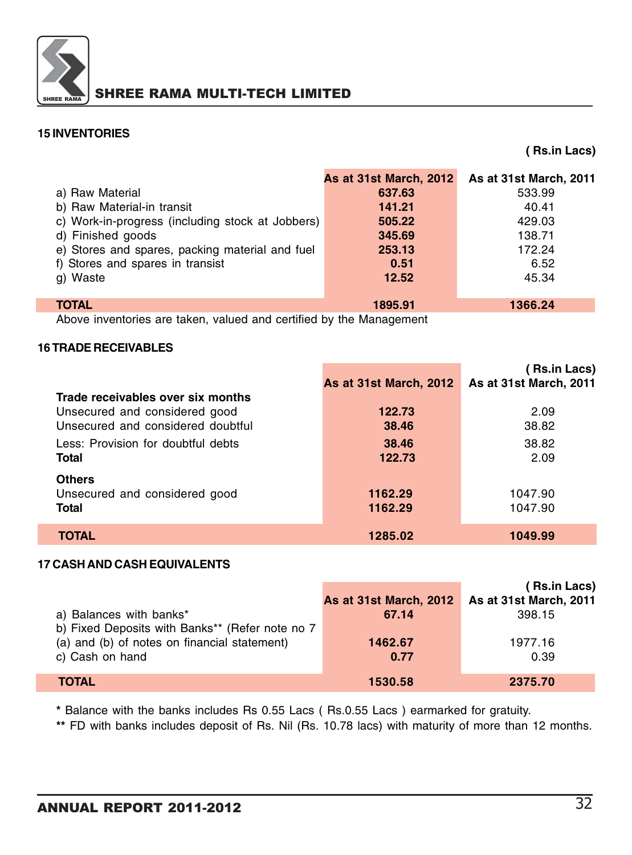

### **15 INVENTORIES**

**( Rs.in Lacs)**

|                                                  | <b>As at 31st March, 2012</b> | As at 31st March, 2011 |
|--------------------------------------------------|-------------------------------|------------------------|
| a) Raw Material                                  | 637.63                        | 533.99                 |
| b) Raw Material-in transit                       | 141.21                        | 40.41                  |
| c) Work-in-progress (including stock at Jobbers) | 505.22                        | 429.03                 |
| d) Finished goods                                | 345.69                        | 138.71                 |
| e) Stores and spares, packing material and fuel  | 253.13                        | 172.24                 |
| f) Stores and spares in transist                 | 0.51                          | 6.52                   |
| g) Waste                                         | 12.52                         | 45.34                  |
|                                                  |                               |                        |
| <b>TOTAL</b>                                     | 1895.91                       | 1366.24                |

Above inventories are taken, valued and certified by the Management

#### **16 TRADE RECEIVABLES**

|                                                                                                         | <b>As at 31st March, 2012</b> | ( Rs.in Lacs)<br><b>As at 31st March, 2011</b> |
|---------------------------------------------------------------------------------------------------------|-------------------------------|------------------------------------------------|
| Trade receivables over six months<br>Unsecured and considered good<br>Unsecured and considered doubtful | 122.73<br>38.46               | 2.09<br>38.82                                  |
| Less: Provision for doubtful debts<br>Total                                                             | 38.46<br>122.73               | 38.82<br>2.09                                  |
| <b>Others</b><br>Unsecured and considered good<br><b>Total</b>                                          | 1162.29<br>1162.29            | 1047.90<br>1047.90                             |
| TOTAL                                                                                                   | 1285.02                       | 1049.99                                        |

#### **17 CASH AND CASH EQUIVALENTS**

|                                                 |                        | ( Rs.in Lacs)                 |
|-------------------------------------------------|------------------------|-------------------------------|
|                                                 | As at 31st March, 2012 | <b>As at 31st March, 2011</b> |
| a) Balances with banks*                         | 67.14                  | 398.15                        |
| b) Fixed Deposits with Banks** (Refer note no 7 |                        |                               |
| (a) and (b) of notes on financial statement)    | 1462.67                | 1977.16                       |
| c) Cash on hand                                 | 0.77                   | 0.39                          |
|                                                 |                        |                               |
| <b>TOTAL</b>                                    | 1530.58                | 2375.70                       |

**\*** Balance with the banks includes Rs 0.55 Lacs ( Rs.0.55 Lacs ) earmarked for gratuity.

**\*\*** FD with banks includes deposit of Rs. Nil (Rs. 10.78 lacs) with maturity of more than 12 months.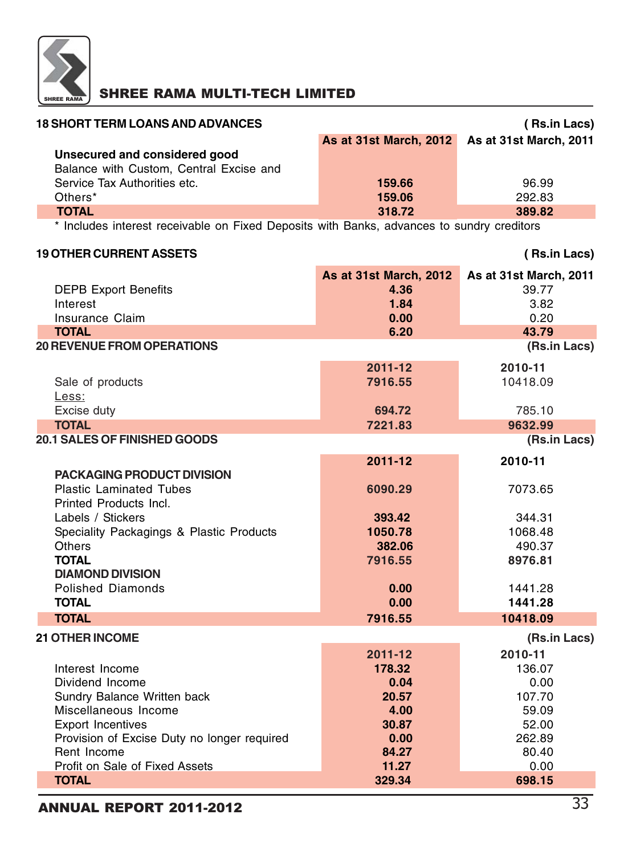

| <b>18 SHORT TERM LOANS AND ADVANCES</b> |                                               | (Rs.in Lacs) |
|-----------------------------------------|-----------------------------------------------|--------------|
|                                         | As at 31st March, 2012 As at 31st March, 2011 |              |
| Unsecured and considered good           |                                               |              |
| Balance with Custom, Central Excise and |                                               |              |
| Service Tax Authorities etc.            | 159.66                                        | 96.99        |
| Others*                                 | 159.06                                        | 292.83       |
| <b>TOTAL</b>                            | 318.72                                        | 389.82       |
|                                         |                                               |              |

\* Includes interest receivable on Fixed Deposits with Banks, advances to sundry creditors

### **19 OTHER CURRENT ASSETS ( Rs.in Lacs) As at 31st March, 2012 As at 31st March, 2011 DEPB Export Benefits 4.36** Interest **1.84** 3.82 Insurance Claim **0.00** 0.20 **TOTAL 6.20 43.79 20 REVENUE FROM OPERATIONS (Rs.in Lacs) 2011-12 2010-11 Sale of products 7916.55** 10418.09 Less: Excise duty **694.72** 785.10 **TOTAL 7221.83 9632.99 20.1 SALES OF FINISHED GOODS (Rs.in Lacs) 2011-12 2010-11 PACKAGING PRODUCT DIVISION** Plastic Laminated Tubes **6090.29** 7073.65 Printed Products Incl. Labels / Stickers **393.42** 344.31 Speciality Packagings & Plastic Products **1050.78** 1068.48 Others **382.06** 490.37 **TOTAL 7916.55 8976.81 DIAMOND DIVISION** Polished Diamonds **0.00** 1441.28 **TOTAL 0.00 1441.28 TOTAL** 7916.55 **10418.09 21 OTHER INCOME (Rs.in Lacs) 2011-12 2010-11** Interest Income **178.32** 136.07 Dividend Income **0.04** 0.00 **Sundry Balance Written back <b>20.57** 107.70 Miscellaneous Income **4.00** 59.09 Export Incentives **30.87** 52.00 Provision of Excise Duty no longer required **0.00** 262.89 Rent Income **84.27** 80.40 Profit on Sale of Fixed Assets **11.27** 0.00 **TOTAL 329.34 698.15**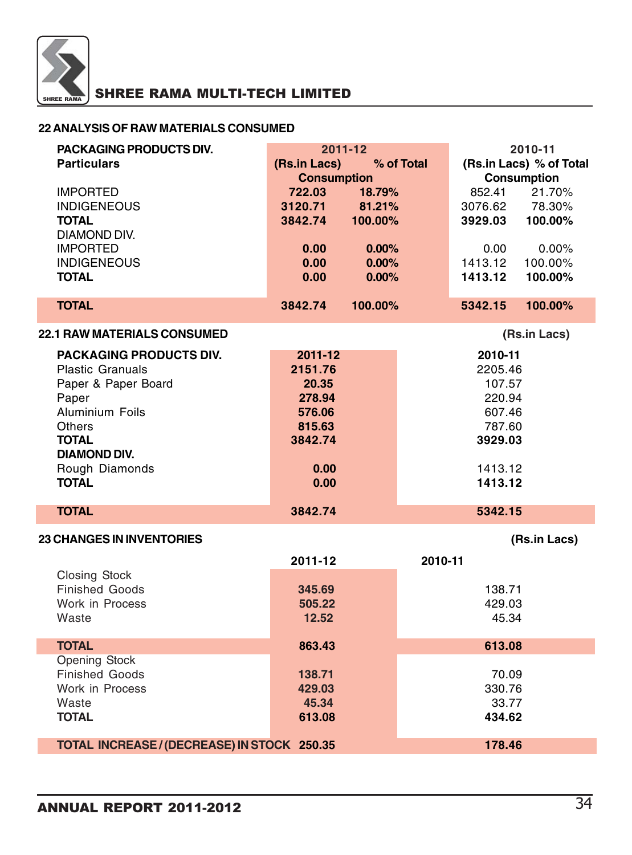

### **22 ANALYSIS OF RAW MATERIALS CONSUMED**

| PACKAGING PRODUCTS DIV.                     |                            | 2011-12  |         | 2010-11                 |                    |  |
|---------------------------------------------|----------------------------|----------|---------|-------------------------|--------------------|--|
| <b>Particulars</b>                          | (Rs.in Lacs)<br>% of Total |          |         | (Rs.in Lacs) % of Total |                    |  |
|                                             | <b>Consumption</b>         |          |         |                         | <b>Consumption</b> |  |
| <b>IMPORTED</b>                             | 722.03                     | 18.79%   |         | 852.41                  | 21.70%             |  |
| <b>INDIGENEOUS</b>                          | 3120.71                    | 81.21%   |         | 3076.62                 | 78.30%             |  |
| <b>TOTAL</b>                                | 3842.74                    | 100.00%  |         | 3929.03                 | 100.00%            |  |
| DIAMOND DIV.                                |                            |          |         |                         |                    |  |
| <b>IMPORTED</b>                             | 0.00                       | $0.00\%$ |         | 0.00                    | $0.00\%$           |  |
| <b>INDIGENEOUS</b>                          | 0.00                       | $0.00\%$ |         | 1413.12                 | 100.00%            |  |
| <b>TOTAL</b>                                | 0.00                       | 0.00%    |         | 1413.12                 | 100.00%            |  |
| <b>TOTAL</b>                                | 3842.74                    | 100.00%  |         | 5342.15                 | 100.00%            |  |
| <b>22.1 RAW MATERIALS CONSUMED</b>          |                            |          |         |                         | (Rs.in Lacs)       |  |
| PACKAGING PRODUCTS DIV.                     | 2011-12                    |          |         | 2010-11                 |                    |  |
| <b>Plastic Granuals</b>                     | 2151.76                    |          |         | 2205.46                 |                    |  |
| Paper & Paper Board                         | 20.35                      |          |         | 107.57                  |                    |  |
| Paper                                       | 278.94                     |          |         | 220.94                  |                    |  |
| Aluminium Foils                             | 576.06                     |          |         | 607.46                  |                    |  |
| <b>Others</b>                               | 815.63                     |          |         | 787.60                  |                    |  |
| <b>TOTAL</b>                                | 3842.74                    |          |         | 3929.03                 |                    |  |
| DIAMOND DIV.                                |                            |          |         |                         |                    |  |
| Rough Diamonds                              | 0.00                       |          |         | 1413.12                 |                    |  |
| <b>TOTAL</b>                                | 0.00                       |          |         | 1413.12                 |                    |  |
| <b>TOTAL</b>                                | 3842.74                    |          |         | 5342.15                 |                    |  |
|                                             |                            |          |         |                         |                    |  |
| <b>23 CHANGES IN INVENTORIES</b>            |                            |          |         |                         | (Rs.in Lacs)       |  |
|                                             | 2011-12                    |          | 2010-11 |                         |                    |  |
| <b>Closing Stock</b>                        |                            |          |         |                         |                    |  |
| <b>Finished Goods</b>                       | 345.69                     |          |         | 138.71                  |                    |  |
| Work in Process                             | 505.22                     |          |         | 429.03                  |                    |  |
| Waste                                       | 12.52                      |          |         | 45.34                   |                    |  |
| <b>TOTAL</b>                                | 863.43                     |          |         | 613.08                  |                    |  |
| <b>Opening Stock</b>                        |                            |          |         |                         |                    |  |
| <b>Finished Goods</b>                       | 138.71                     |          |         | 70.09                   |                    |  |
| Work in Process                             | 429.03                     |          |         | 330.76                  |                    |  |
| Waste                                       | 45.34                      |          |         | 33.77                   |                    |  |
| <b>TOTAL</b>                                | 613.08                     |          |         | 434.62                  |                    |  |
| TOTAL INCREASE / (DECREASE) IN STOCK 250.35 |                            |          |         | 178.46                  |                    |  |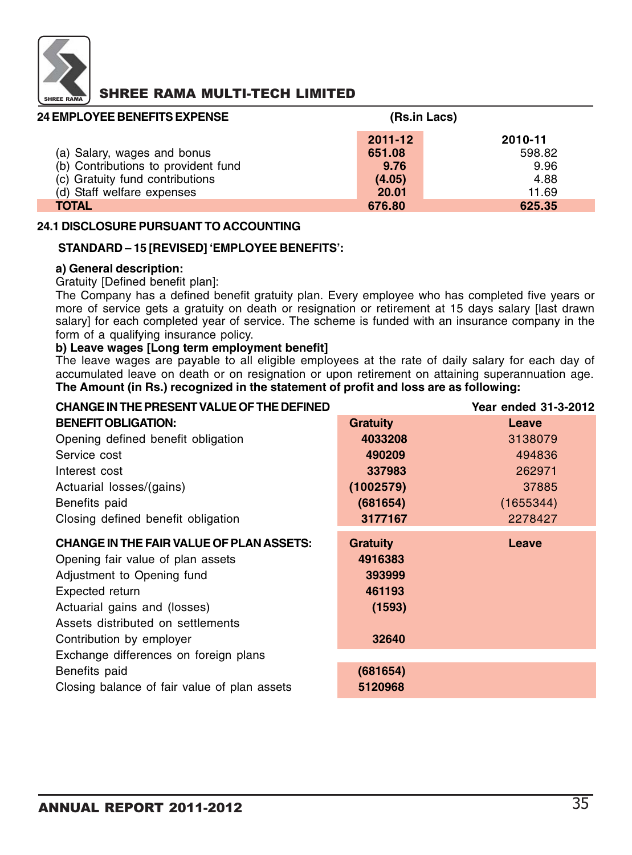

| <b>24 EMPLOYEE BENEFITS EXPENSE</b> | (Rs.in Lacs) |         |
|-------------------------------------|--------------|---------|
|                                     | $2011 - 12$  | 2010-11 |
| (a) Salary, wages and bonus         | 651.08       | 598.82  |
| (b) Contributions to provident fund | 9.76         | 9.96    |
| (c) Gratuity fund contributions     | (4.05)       | 4.88    |
| (d) Staff welfare expenses          | 20.01        | 11.69   |
| <b>TOTAL</b>                        | 676.80       | 625.35  |

#### **24.1 DISCLOSURE PURSUANT TO ACCOUNTING**

#### **STANDARD – 15 [REVISED] 'EMPLOYEE BENEFITS':**

#### **a) General description:**

#### Gratuity [Defined benefit plan]:

The Company has a defined benefit gratuity plan. Every employee who has completed five years or more of service gets a gratuity on death or resignation or retirement at 15 days salary [last drawn salary] for each completed year of service. The scheme is funded with an insurance company in the form of a qualifying insurance policy.

#### **b) Leave wages [Long term employment benefit]**

The leave wages are payable to all eligible employees at the rate of daily salary for each day of accumulated leave on death or on resignation or upon retirement on attaining superannuation age. **The Amount (in Rs.) recognized in the statement of profit and loss are as following:**

| <b>CHANGE IN THE PRESENT VALUE OF THE DEFINED</b> |                 | Year ended 31-3-2012 |
|---------------------------------------------------|-----------------|----------------------|
| <b>BENEFIT OBLIGATION:</b>                        | <b>Gratuity</b> | Leave                |
| Opening defined benefit obligation                | 4033208         | 3138079              |
| Service cost                                      | 490209          | 494836               |
| Interest cost                                     | 337983          | 262971               |
| Actuarial losses/(gains)                          | (1002579)       | 37885                |
| Benefits paid                                     | (681654)        | (1655344)            |
| Closing defined benefit obligation                | 3177167         | 2278427              |
| <b>CHANGE IN THE FAIR VALUE OF PLAN ASSETS:</b>   | <b>Gratuity</b> | Leave                |
| Opening fair value of plan assets                 | 4916383         |                      |
| Adjustment to Opening fund                        | 393999          |                      |
| Expected return                                   | 461193          |                      |
| Actuarial gains and (losses)                      | (1593)          |                      |
| Assets distributed on settlements                 |                 |                      |
| Contribution by employer                          | 32640           |                      |
| Exchange differences on foreign plans             |                 |                      |
| Benefits paid                                     | (681654)        |                      |
| Closing balance of fair value of plan assets      | 5120968         |                      |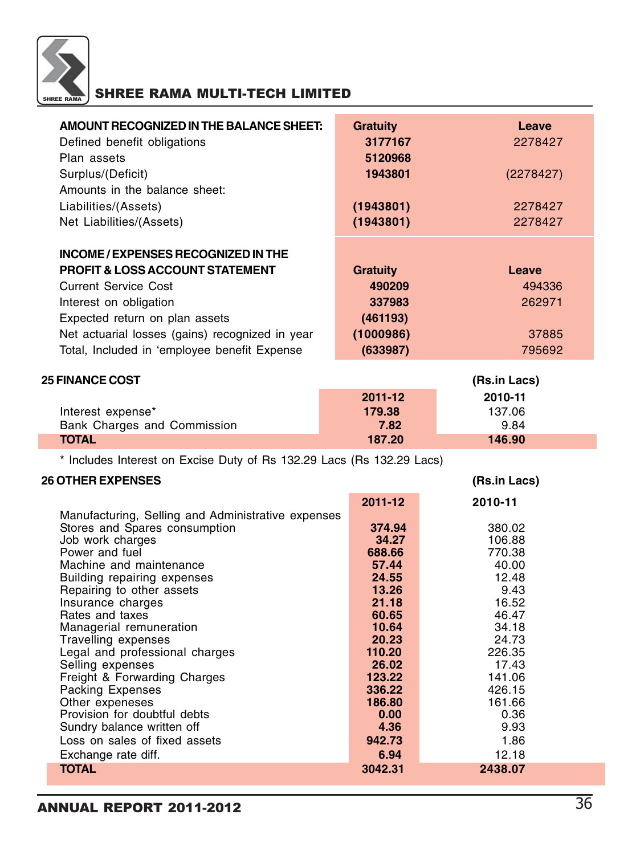

| AMOUNT RECOGNIZED IN THE BALANCE SHEET:         | <b>Gratuity</b> | Leave     |
|-------------------------------------------------|-----------------|-----------|
| Defined benefit obligations                     | 3177167         | 2278427   |
| Plan assets                                     | 5120968         |           |
| Surplus/(Deficit)                               | 1943801         | (2278427) |
| Amounts in the balance sheet:                   |                 |           |
| Liabilities/(Assets)                            | (1943801)       | 2278427   |
| Net Liabilities/(Assets)                        | (1943801)       | 2278427   |
|                                                 |                 |           |
| INCOME / EXPENSES RECOGNIZED IN THE             |                 |           |
| <b>PROFIT &amp; LOSS ACCOUNT STATEMENT</b>      | <b>Gratuity</b> | Leave     |
| <b>Current Service Cost</b>                     | 490209          | 494336    |
| Interest on obligation                          | 337983          | 262971    |
| Expected return on plan assets                  | (461193)        |           |
| Net actuarial losses (gains) recognized in year | (1000986)       | 37885     |
| Total, Included in 'employee benefit Expense    | (633987)        | 795692    |
|                                                 |                 |           |

| <b>25 FINANCE COST</b>      | (Rs.in Lacs) |         |  |
|-----------------------------|--------------|---------|--|
|                             | 2011-12      | 2010-11 |  |
| Interest expense*           | 179.38       | 137.06  |  |
| Bank Charges and Commission | 7.82         | 9.84    |  |
| <b>TOTAL</b>                | 187.20       | 146.90  |  |

\* Includes Interest on Excise Duty of Rs 132.29 Lacs (Rs 132.29 Lacs)

### **26 OTHER EXPENSES (Rs.in Lacs)**

|                                                    | 2011-12 | 2010-11 |
|----------------------------------------------------|---------|---------|
| Manufacturing, Selling and Administrative expenses |         |         |
| Stores and Spares consumption                      | 374.94  | 380.02  |
| Job work charges                                   | 34.27   | 106.88  |
| Power and fuel                                     | 688.66  | 770.38  |
| Machine and maintenance                            | 57.44   | 40.00   |
| Building repairing expenses                        | 24.55   | 12.48   |
| Repairing to other assets                          | 13.26   | 9.43    |
| Insurance charges                                  | 21.18   | 16.52   |
| Rates and taxes                                    | 60.65   | 46.47   |
| Managerial remuneration                            | 10.64   | 34.18   |
| Travelling expenses                                | 20.23   | 24.73   |
| Legal and professional charges                     | 110.20  | 226.35  |
| Selling expenses                                   | 26.02   | 17.43   |
| Freight & Forwarding Charges                       | 123.22  | 141.06  |
| Packing Expenses                                   | 336.22  | 426.15  |
| Other expeneses                                    | 186.80  | 161.66  |
| Provision for doubtful debts                       | 0.00    | 0.36    |
| Sundry balance written off                         | 4.36    | 9.93    |
| Loss on sales of fixed assets                      | 942.73  | 1.86    |
| Exchange rate diff.                                | 6.94    | 12.18   |
| <b>TOTAL</b>                                       | 3042.31 | 2438.07 |
|                                                    |         |         |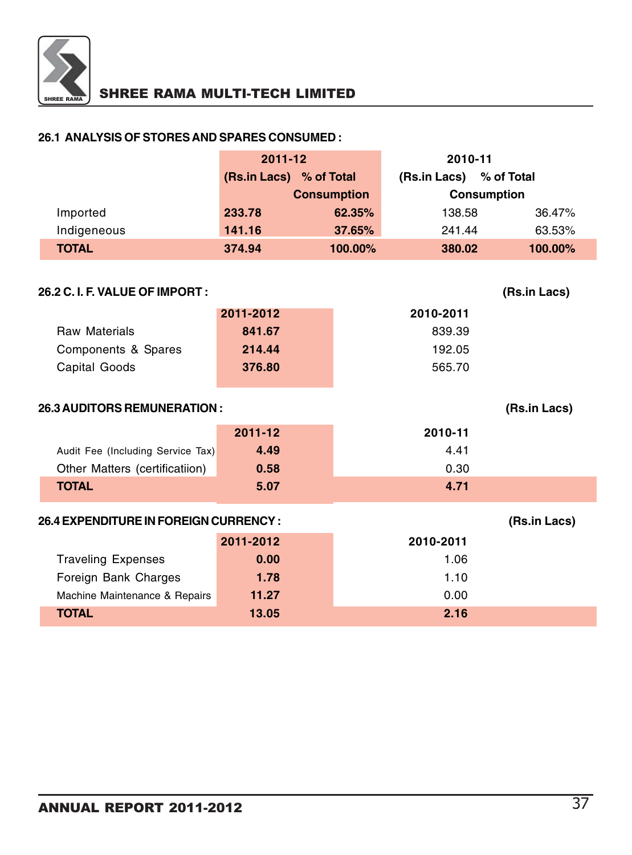

#### **26.1 ANALYSIS OF STORES AND SPARES CONSUMED :**

| $2011 - 12$             |         | 2010-11            |                            |  |
|-------------------------|---------|--------------------|----------------------------|--|
| (Rs.in Lacs) % of Total |         | (Rs.in Lacs)       | % of Total                 |  |
| <b>Consumption</b>      |         | <b>Consumption</b> |                            |  |
| 233.78                  | 62.35%  |                    | 36.47%                     |  |
| 141.16                  | 37.65%  |                    | 63.53%                     |  |
| 374.94                  | 100.00% |                    | 100.00%                    |  |
|                         |         |                    | 138.58<br>241.44<br>380.02 |  |

| 26.2 C. I. F. VALUE OF IMPORT : |           | (Rs.in Lacs) |
|---------------------------------|-----------|--------------|
|                                 | 2011-2012 | 2010-2011    |
| <b>Raw Materials</b>            | 841.67    | 839.39       |
| Components & Spares             | 214.44    | 192.05       |
| Capital Goods                   | 376.80    | 565.70       |
|                                 |           |              |

### **26.3 AUDITORS REMUNERATION : (Rs.in Lacs)**

| $2011 - 12$ | 2010-11                           |
|-------------|-----------------------------------|
| 4.49        | 4.41                              |
| 0.58        | 0.30                              |
| 5.07        | 4.71                              |
|             | Audit Fee (Including Service Tax) |

### **26.4 EXPENDITURE IN FOREIGN CURRENCY : (Rs.in Lacs)**

|                               | 2011-2012 | 2010-2011 |
|-------------------------------|-----------|-----------|
| <b>Traveling Expenses</b>     | 0.00      | 1.06      |
| Foreign Bank Charges          | 1.78      | 1.10      |
| Machine Maintenance & Repairs | 11.27     | 0.00      |
| <b>TOTAL</b>                  | 13.05     | 2.16      |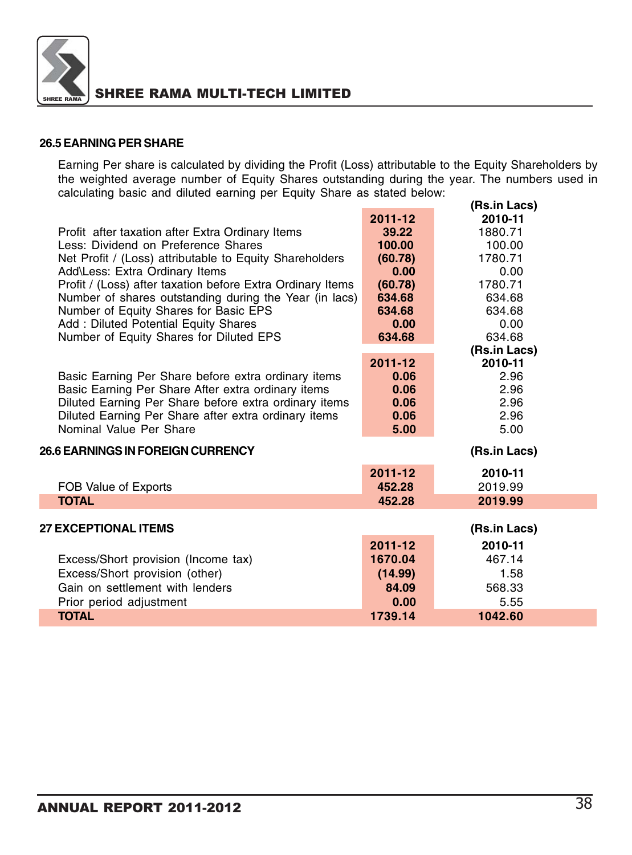

#### **26.5 EARNING PER SHARE**

Earning Per share is calculated by dividing the Profit (Loss) attributable to the Equity Shareholders by the weighted average number of Equity Shares outstanding during the year. The numbers used in calculating basic and diluted earning per Equity Share as stated below: **(Rs.in Lacs)**

|                                                            |             | (RS.IN LACS) |  |
|------------------------------------------------------------|-------------|--------------|--|
|                                                            | $2011 - 12$ | 2010-11      |  |
| Profit after taxation after Extra Ordinary Items           | 39.22       | 1880.71      |  |
| Less: Dividend on Preference Shares                        | 100.00      | 100.00       |  |
| Net Profit / (Loss) attributable to Equity Shareholders    | (60.78)     | 1780.71      |  |
| Add\Less: Extra Ordinary Items                             | 0.00        | 0.00         |  |
| Profit / (Loss) after taxation before Extra Ordinary Items | (60.78)     | 1780.71      |  |
| Number of shares outstanding during the Year (in lacs)     | 634.68      | 634.68       |  |
| Number of Equity Shares for Basic EPS                      | 634.68      | 634.68       |  |
| Add: Diluted Potential Equity Shares                       | 0.00        | 0.00         |  |
| Number of Equity Shares for Diluted EPS                    | 634.68      | 634.68       |  |
|                                                            |             | (Rs.in Lacs) |  |
|                                                            | 2011-12     | 2010-11      |  |
| Basic Earning Per Share before extra ordinary items        | 0.06        | 2.96         |  |
| Basic Earning Per Share After extra ordinary items         | 0.06        | 2.96         |  |
| Diluted Earning Per Share before extra ordinary items      | 0.06        | 2.96         |  |
| Diluted Earning Per Share after extra ordinary items       | 0.06        | 2.96         |  |
| Nominal Value Per Share                                    | 5.00        | 5.00         |  |
| <b>26.6 EARNINGS IN FOREIGN CURRENCY</b>                   |             | (Rs.in Lacs) |  |
|                                                            | 2011-12     | 2010-11      |  |
| FOB Value of Exports                                       | 452.28      | 2019.99      |  |
| <b>TOTAL</b>                                               | 452.28      | 2019.99      |  |
|                                                            |             |              |  |
| <b>27 EXCEPTIONAL ITEMS</b>                                |             | (Rs.in Lacs) |  |
|                                                            | $2011 - 12$ | 2010-11      |  |
| Excess/Short provision (Income tax)                        | 1670.04     | 467.14       |  |
| Excess/Short provision (other)                             | (14.99)     | 1.58         |  |
| Gain on settlement with lenders                            | 84.09       | 568.33       |  |
| Prior period adjustment                                    | 0.00        | 5.55         |  |
| <b>TOTAL</b>                                               | 1739.14     | 1042.60      |  |
|                                                            |             |              |  |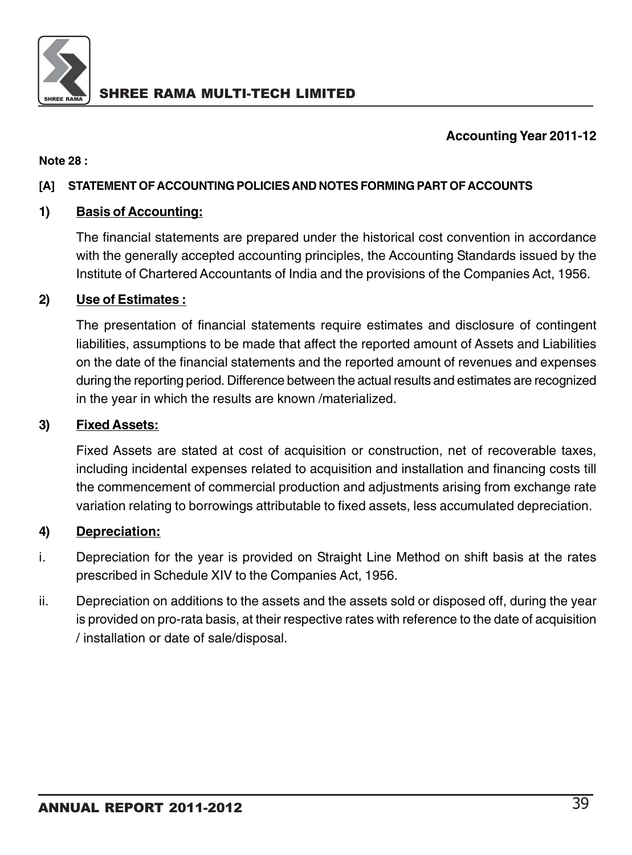

### **Accounting Year 2011-12**

### **Note 28 :**

### **[A] STATEMENT OF ACCOUNTING POLICIES AND NOTES FORMING PART OF ACCOUNTS**

### **1) Basis of Accounting:**

The financial statements are prepared under the historical cost convention in accordance with the generally accepted accounting principles, the Accounting Standards issued by the Institute of Chartered Accountants of India and the provisions of the Companies Act, 1956.

### **2) Use of Estimates :**

The presentation of financial statements require estimates and disclosure of contingent liabilities, assumptions to be made that affect the reported amount of Assets and Liabilities on the date of the financial statements and the reported amount of revenues and expenses during the reporting period. Difference between the actual results and estimates are recognized in the year in which the results are known /materialized.

### **3) Fixed Assets:**

Fixed Assets are stated at cost of acquisition or construction, net of recoverable taxes, including incidental expenses related to acquisition and installation and financing costs till the commencement of commercial production and adjustments arising from exchange rate variation relating to borrowings attributable to fixed assets, less accumulated depreciation.

### **4) Depreciation:**

- i. Depreciation for the year is provided on Straight Line Method on shift basis at the rates prescribed in Schedule XIV to the Companies Act, 1956.
- ii. Depreciation on additions to the assets and the assets sold or disposed off, during the year is provided on pro-rata basis, at their respective rates with reference to the date of acquisition / installation or date of sale/disposal.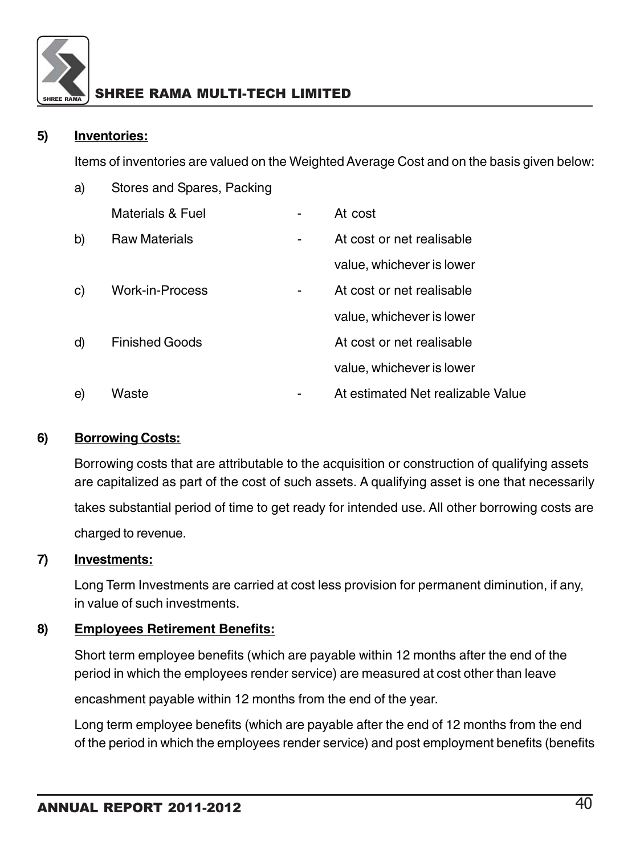

### **5) Inventories:**

Items of inventories are valued on the Weighted Average Cost and on the basis given below:

| a) | Stores and Spares, Packing |   |                                   |
|----|----------------------------|---|-----------------------------------|
|    | Materials & Fuel           |   | At cost                           |
| b) | <b>Raw Materials</b>       | ۰ | At cost or net realisable         |
|    |                            |   | value, whichever is lower         |
| C) | <b>Work-in-Process</b>     |   | At cost or net realisable         |
|    |                            |   | value, whichever is lower         |
| d) | <b>Finished Goods</b>      |   | At cost or net realisable         |
|    |                            |   | value, whichever is lower         |
| e) | Waste                      |   | At estimated Net realizable Value |

### **6) Borrowing Costs:**

Borrowing costs that are attributable to the acquisition or construction of qualifying assets are capitalized as part of the cost of such assets. A qualifying asset is one that necessarily

takes substantial period of time to get ready for intended use. All other borrowing costs are charged to revenue.

### **7) Investments:**

Long Term Investments are carried at cost less provision for permanent diminution, if any, in value of such investments.

### **8) Employees Retirement Benefits:**

Short term employee benefits (which are payable within 12 months after the end of the period in which the employees render service) are measured at cost other than leave

encashment payable within 12 months from the end of the year.

Long term employee benefits (which are payable after the end of 12 months from the end of the period in which the employees render service) and post employment benefits (benefits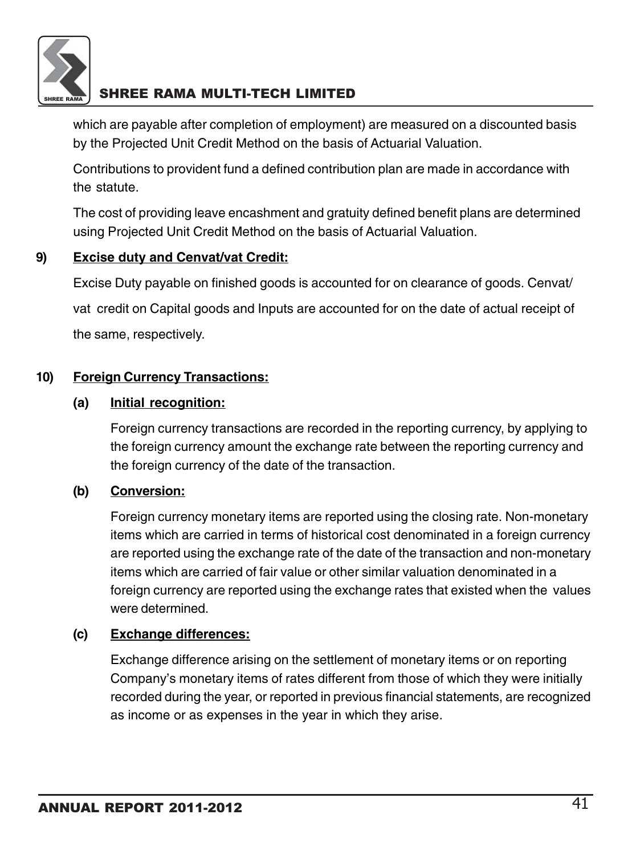

which are payable after completion of employment) are measured on a discounted basis by the Projected Unit Credit Method on the basis of Actuarial Valuation.

Contributions to provident fund a defined contribution plan are made in accordance with the statute.

The cost of providing leave encashment and gratuity defined benefit plans are determined using Projected Unit Credit Method on the basis of Actuarial Valuation.

### **9) Excise duty and Cenvat/vat Credit:**

Excise Duty payable on finished goods is accounted for on clearance of goods. Cenvat/ vat credit on Capital goods and Inputs are accounted for on the date of actual receipt of the same, respectively.

### **10) Foreign Currency Transactions:**

### **(a) Initial recognition:**

Foreign currency transactions are recorded in the reporting currency, by applying to the foreign currency amount the exchange rate between the reporting currency and the foreign currency of the date of the transaction.

### **(b) Conversion:**

Foreign currency monetary items are reported using the closing rate. Non-monetary items which are carried in terms of historical cost denominated in a foreign currency are reported using the exchange rate of the date of the transaction and non-monetary items which are carried of fair value or other similar valuation denominated in a foreign currency are reported using the exchange rates that existed when the values were determined.

### **(c) Exchange differences:**

Exchange difference arising on the settlement of monetary items or on reporting Company's monetary items of rates different from those of which they were initially recorded during the year, or reported in previous financial statements, are recognized as income or as expenses in the year in which they arise.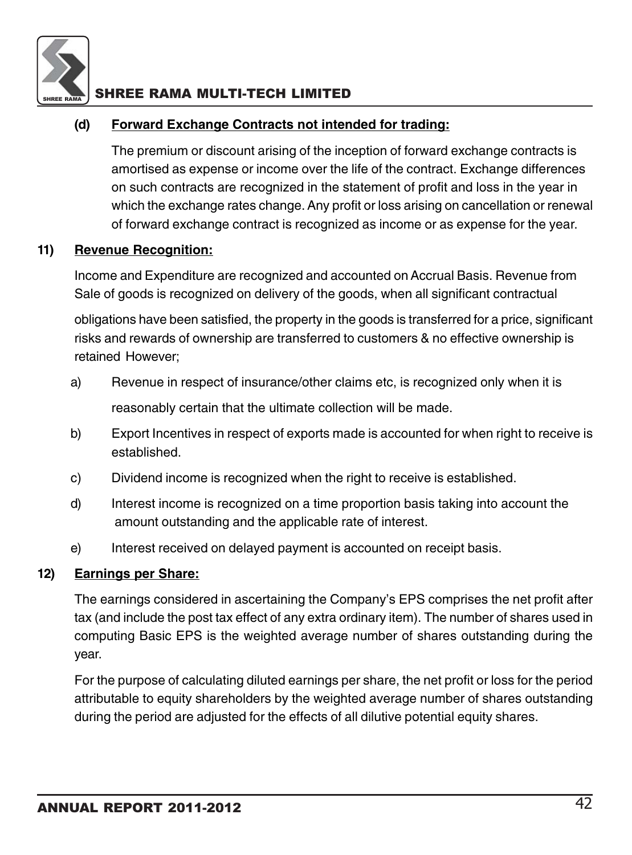

### **(d) Forward Exchange Contracts not intended for trading:**

The premium or discount arising of the inception of forward exchange contracts is amortised as expense or income over the life of the contract. Exchange differences on such contracts are recognized in the statement of profit and loss in the year in which the exchange rates change. Any profit or loss arising on cancellation or renewal of forward exchange contract is recognized as income or as expense for the year.

### **11) Revenue Recognition:**

Income and Expenditure are recognized and accounted on Accrual Basis. Revenue from Sale of goods is recognized on delivery of the goods, when all significant contractual

obligations have been satisfied, the property in the goods is transferred for a price, significant risks and rewards of ownership are transferred to customers & no effective ownership is retained However;

- a) Revenue in respect of insurance/other claims etc, is recognized only when it is reasonably certain that the ultimate collection will be made.
- b) Export Incentives in respect of exports made is accounted for when right to receive is established.
- c) Dividend income is recognized when the right to receive is established.
- d) Interest income is recognized on a time proportion basis taking into account the amount outstanding and the applicable rate of interest.
- e) Interest received on delayed payment is accounted on receipt basis.

### **12) Earnings per Share:**

The earnings considered in ascertaining the Company's EPS comprises the net profit after tax (and include the post tax effect of any extra ordinary item). The number of shares used in computing Basic EPS is the weighted average number of shares outstanding during the year.

For the purpose of calculating diluted earnings per share, the net profit or loss for the period attributable to equity shareholders by the weighted average number of shares outstanding during the period are adjusted for the effects of all dilutive potential equity shares.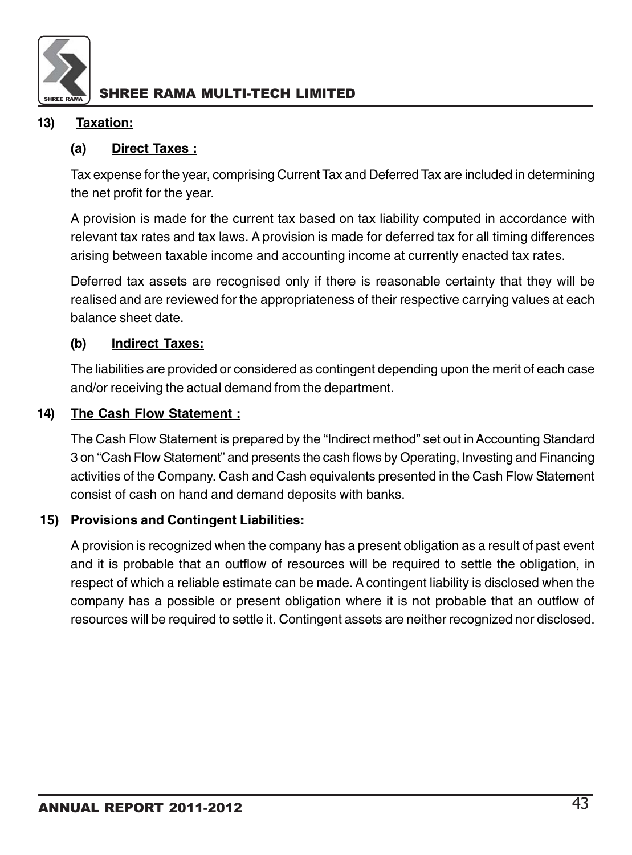

### **13) Taxation:**

### **(a) Direct Taxes :**

Tax expense for the year, comprising Current Tax and Deferred Tax are included in determining the net profit for the year.

A provision is made for the current tax based on tax liability computed in accordance with relevant tax rates and tax laws. A provision is made for deferred tax for all timing differences arising between taxable income and accounting income at currently enacted tax rates.

Deferred tax assets are recognised only if there is reasonable certainty that they will be realised and are reviewed for the appropriateness of their respective carrying values at each balance sheet date.

### **(b) Indirect Taxes:**

The liabilities are provided or considered as contingent depending upon the merit of each case and/or receiving the actual demand from the department.

### **14) The Cash Flow Statement :**

The Cash Flow Statement is prepared by the "Indirect method" set out in Accounting Standard 3 on "Cash Flow Statement" and presents the cash flows by Operating, Investing and Financing activities of the Company. Cash and Cash equivalents presented in the Cash Flow Statement consist of cash on hand and demand deposits with banks.

### **15) Provisions and Contingent Liabilities:**

A provision is recognized when the company has a present obligation as a result of past event and it is probable that an outflow of resources will be required to settle the obligation, in respect of which a reliable estimate can be made. A contingent liability is disclosed when the company has a possible or present obligation where it is not probable that an outflow of resources will be required to settle it. Contingent assets are neither recognized nor disclosed.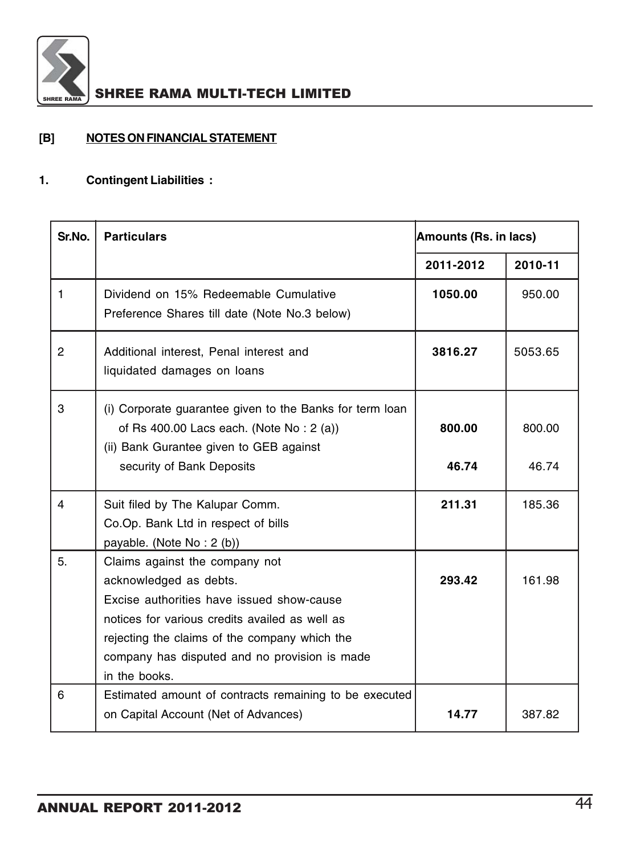

### **[B] NOTES ON FINANCIAL STATEMENT**

### **1. Contingent Liabilities :**

| Sr.No.         | <b>Particulars</b>                                                                                                                                                                                                                                                         | Amounts (Rs. in lacs) |                 |  |  |
|----------------|----------------------------------------------------------------------------------------------------------------------------------------------------------------------------------------------------------------------------------------------------------------------------|-----------------------|-----------------|--|--|
|                |                                                                                                                                                                                                                                                                            | 2011-2012             | 2010-11         |  |  |
| $\mathbf{1}$   | Dividend on 15% Redeemable Cumulative<br>Preference Shares till date (Note No.3 below)                                                                                                                                                                                     | 1050.00               | 950.00          |  |  |
| $\overline{2}$ | Additional interest, Penal interest and<br>liquidated damages on loans                                                                                                                                                                                                     | 3816.27               | 5053.65         |  |  |
| 3              | (i) Corporate guarantee given to the Banks for term loan<br>of Rs 400.00 Lacs each. (Note No: 2 (a))<br>(ii) Bank Gurantee given to GEB against<br>security of Bank Deposits                                                                                               | 800.00<br>46.74       | 800.00<br>46.74 |  |  |
| 4              | Suit filed by The Kalupar Comm.<br>Co.Op. Bank Ltd in respect of bills<br>payable. (Note No: 2 (b))                                                                                                                                                                        | 211.31                | 185.36          |  |  |
| 5.             | Claims against the company not<br>acknowledged as debts.<br>Excise authorities have issued show-cause<br>notices for various credits availed as well as<br>rejecting the claims of the company which the<br>company has disputed and no provision is made<br>in the books. | 293.42                | 161.98          |  |  |
| 6              | Estimated amount of contracts remaining to be executed<br>on Capital Account (Net of Advances)                                                                                                                                                                             | 14.77                 | 387.82          |  |  |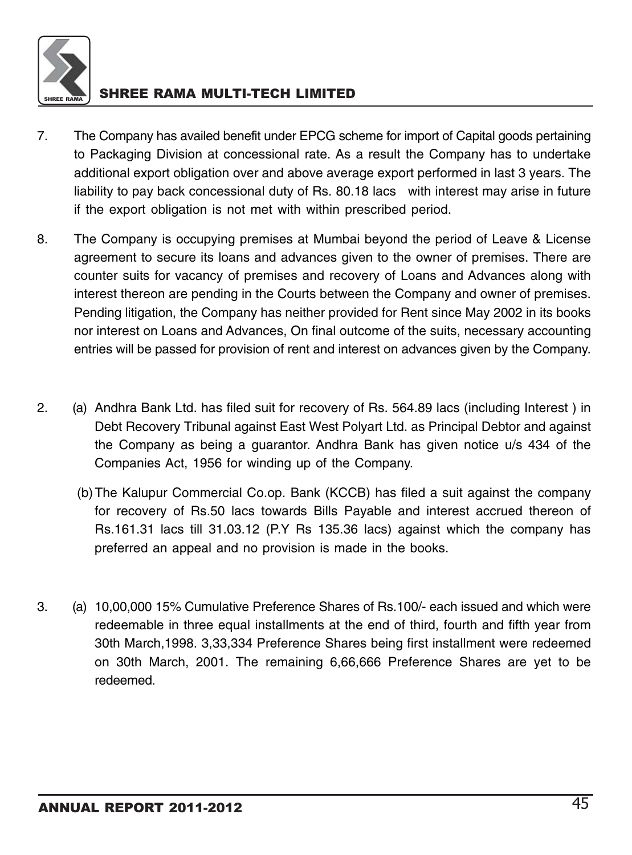

- 7. The Company has availed benefit under EPCG scheme for import of Capital goods pertaining to Packaging Division at concessional rate. As a result the Company has to undertake additional export obligation over and above average export performed in last 3 years. The liability to pay back concessional duty of Rs. 80.18 lacs with interest may arise in future if the export obligation is not met with within prescribed period.
- 8. The Company is occupying premises at Mumbai beyond the period of Leave & License agreement to secure its loans and advances given to the owner of premises. There are counter suits for vacancy of premises and recovery of Loans and Advances along with interest thereon are pending in the Courts between the Company and owner of premises. Pending litigation, the Company has neither provided for Rent since May 2002 in its books nor interest on Loans and Advances, On final outcome of the suits, necessary accounting entries will be passed for provision of rent and interest on advances given by the Company.
- 2. (a) Andhra Bank Ltd. has filed suit for recovery of Rs. 564.89 lacs (including Interest ) in Debt Recovery Tribunal against East West Polyart Ltd. as Principal Debtor and against the Company as being a guarantor. Andhra Bank has given notice u/s 434 of the Companies Act, 1956 for winding up of the Company.
	- (b)The Kalupur Commercial Co.op. Bank (KCCB) has filed a suit against the company for recovery of Rs.50 lacs towards Bills Payable and interest accrued thereon of Rs.161.31 lacs till 31.03.12 (P.Y Rs 135.36 lacs) against which the company has preferred an appeal and no provision is made in the books.
- 3. (a) 10,00,000 15% Cumulative Preference Shares of Rs.100/- each issued and which were redeemable in three equal installments at the end of third, fourth and fifth year from 30th March,1998. 3,33,334 Preference Shares being first installment were redeemed on 30th March, 2001. The remaining 6,66,666 Preference Shares are yet to be redeemed.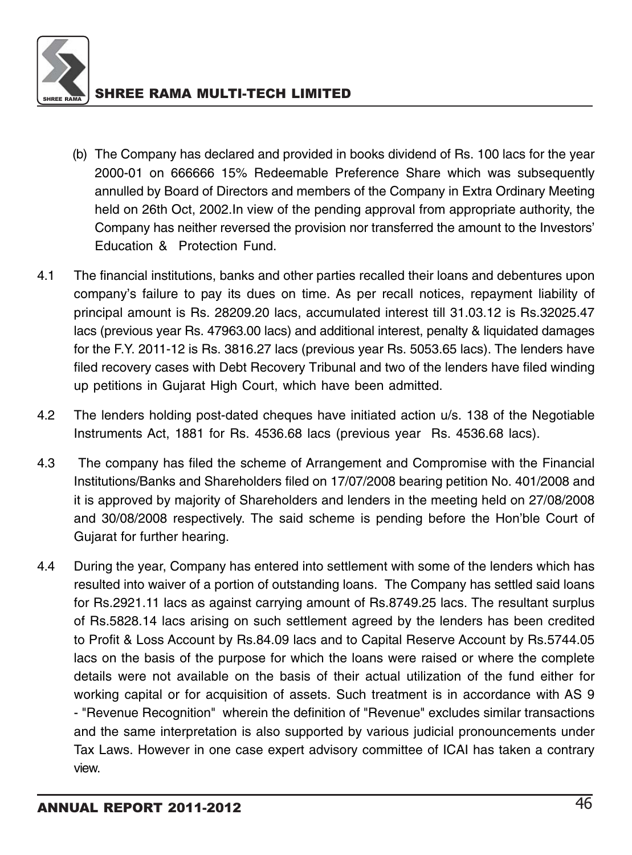

- (b) The Company has declared and provided in books dividend of Rs. 100 lacs for the year 2000-01 on 666666 15% Redeemable Preference Share which was subsequently annulled by Board of Directors and members of the Company in Extra Ordinary Meeting held on 26th Oct, 2002.In view of the pending approval from appropriate authority, the Company has neither reversed the provision nor transferred the amount to the Investors' Education & Protection Fund.
- 4.1 The financial institutions, banks and other parties recalled their loans and debentures upon company's failure to pay its dues on time. As per recall notices, repayment liability of principal amount is Rs. 28209.20 lacs, accumulated interest till 31.03.12 is Rs.32025.47 lacs (previous year Rs. 47963.00 lacs) and additional interest, penalty & liquidated damages for the F.Y. 2011-12 is Rs. 3816.27 lacs (previous year Rs. 5053.65 lacs). The lenders have filed recovery cases with Debt Recovery Tribunal and two of the lenders have filed winding up petitions in Gujarat High Court, which have been admitted.
- 4.2 The lenders holding post-dated cheques have initiated action u/s. 138 of the Negotiable Instruments Act, 1881 for Rs. 4536.68 lacs (previous year Rs. 4536.68 lacs).
- 4.3 The company has filed the scheme of Arrangement and Compromise with the Financial Institutions/Banks and Shareholders filed on 17/07/2008 bearing petition No. 401/2008 and it is approved by majority of Shareholders and lenders in the meeting held on 27/08/2008 and 30/08/2008 respectively. The said scheme is pending before the Hon'ble Court of Gujarat for further hearing.
- 4.4 During the year, Company has entered into settlement with some of the lenders which has resulted into waiver of a portion of outstanding loans. The Company has settled said loans for Rs.2921.11 lacs as against carrying amount of Rs.8749.25 lacs. The resultant surplus of Rs.5828.14 lacs arising on such settlement agreed by the lenders has been credited to Profit & Loss Account by Rs.84.09 lacs and to Capital Reserve Account by Rs.5744.05 lacs on the basis of the purpose for which the loans were raised or where the complete details were not available on the basis of their actual utilization of the fund either for working capital or for acquisition of assets. Such treatment is in accordance with AS 9 - "Revenue Recognition" wherein the definition of "Revenue" excludes similar transactions and the same interpretation is also supported by various judicial pronouncements under Tax Laws. However in one case expert advisory committee of ICAI has taken a contrary view.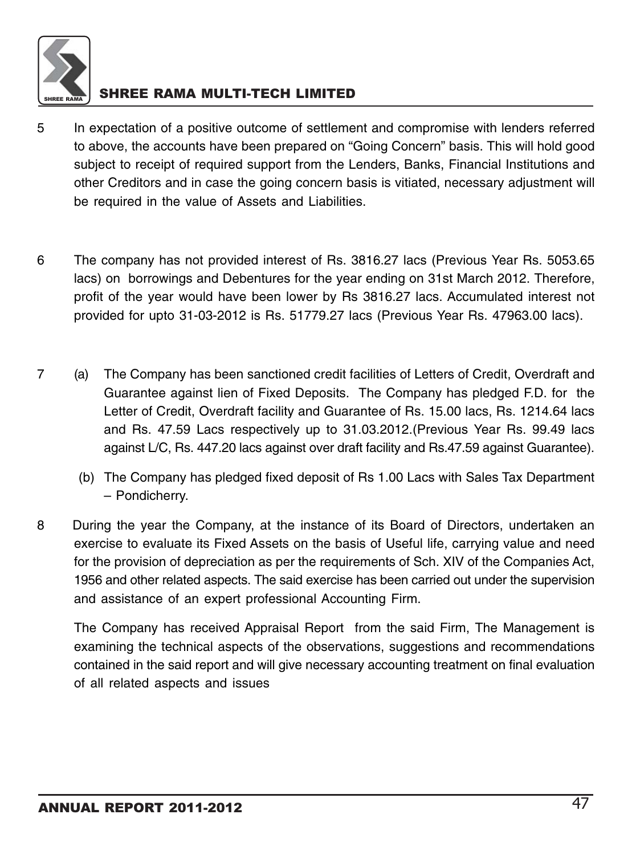

- 5 In expectation of a positive outcome of settlement and compromise with lenders referred to above, the accounts have been prepared on "Going Concern" basis. This will hold good subject to receipt of required support from the Lenders, Banks, Financial Institutions and other Creditors and in case the going concern basis is vitiated, necessary adjustment will be required in the value of Assets and Liabilities.
- 6 The company has not provided interest of Rs. 3816.27 lacs (Previous Year Rs. 5053.65 lacs) on borrowings and Debentures for the year ending on 31st March 2012. Therefore, profit of the year would have been lower by Rs 3816.27 lacs. Accumulated interest not provided for upto 31-03-2012 is Rs. 51779.27 lacs (Previous Year Rs. 47963.00 lacs).
- 7 (a) The Company has been sanctioned credit facilities of Letters of Credit, Overdraft and Guarantee against lien of Fixed Deposits. The Company has pledged F.D. for the Letter of Credit, Overdraft facility and Guarantee of Rs. 15.00 lacs, Rs. 1214.64 lacs and Rs. 47.59 Lacs respectively up to 31.03.2012.(Previous Year Rs. 99.49 lacs against L/C, Rs. 447.20 lacs against over draft facility and Rs.47.59 against Guarantee).
	- (b) The Company has pledged fixed deposit of Rs 1.00 Lacs with Sales Tax Department – Pondicherry.
- 8 During the year the Company, at the instance of its Board of Directors, undertaken an exercise to evaluate its Fixed Assets on the basis of Useful life, carrying value and need for the provision of depreciation as per the requirements of Sch. XIV of the Companies Act, 1956 and other related aspects. The said exercise has been carried out under the supervision and assistance of an expert professional Accounting Firm.

The Company has received Appraisal Report from the said Firm, The Management is examining the technical aspects of the observations, suggestions and recommendations contained in the said report and will give necessary accounting treatment on final evaluation of all related aspects and issues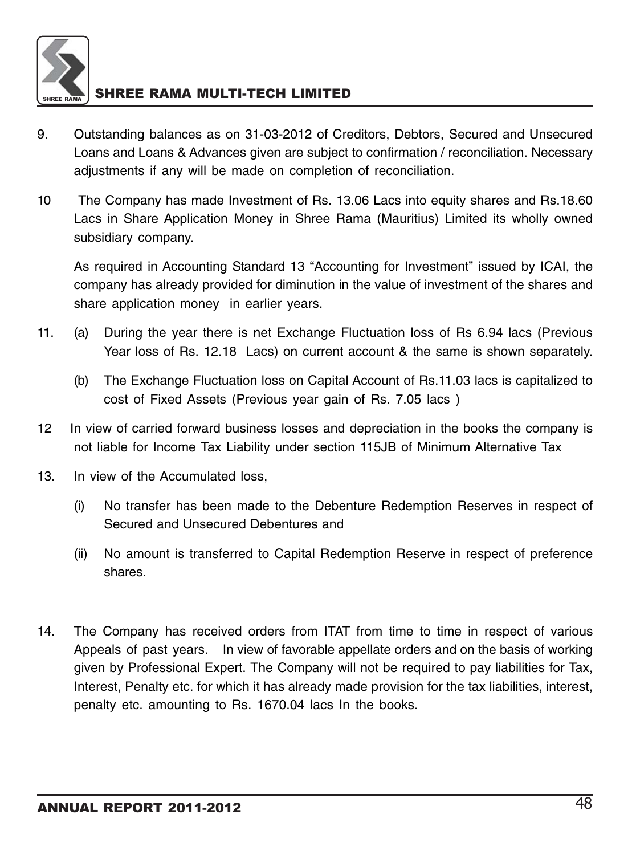

- 9. Outstanding balances as on 31-03-2012 of Creditors, Debtors, Secured and Unsecured Loans and Loans & Advances given are subject to confirmation / reconciliation. Necessary adjustments if any will be made on completion of reconciliation.
- 10 The Company has made Investment of Rs. 13.06 Lacs into equity shares and Rs.18.60 Lacs in Share Application Money in Shree Rama (Mauritius) Limited its wholly owned subsidiary company.

As required in Accounting Standard 13 "Accounting for Investment" issued by ICAI, the company has already provided for diminution in the value of investment of the shares and share application money in earlier years.

- 11. (a) During the year there is net Exchange Fluctuation loss of Rs 6.94 lacs (Previous Year loss of Rs. 12.18 Lacs) on current account & the same is shown separately.
	- (b) The Exchange Fluctuation loss on Capital Account of Rs.11.03 lacs is capitalized to cost of Fixed Assets (Previous year gain of Rs. 7.05 lacs )
- 12 In view of carried forward business losses and depreciation in the books the company is not liable for Income Tax Liability under section 115JB of Minimum Alternative Tax
- 13. In view of the Accumulated loss,
	- (i) No transfer has been made to the Debenture Redemption Reserves in respect of Secured and Unsecured Debentures and
	- (ii) No amount is transferred to Capital Redemption Reserve in respect of preference shares.
- 14. The Company has received orders from ITAT from time to time in respect of various Appeals of past years. In view of favorable appellate orders and on the basis of working given by Professional Expert. The Company will not be required to pay liabilities for Tax, Interest, Penalty etc. for which it has already made provision for the tax liabilities, interest, penalty etc. amounting to Rs. 1670.04 lacs In the books.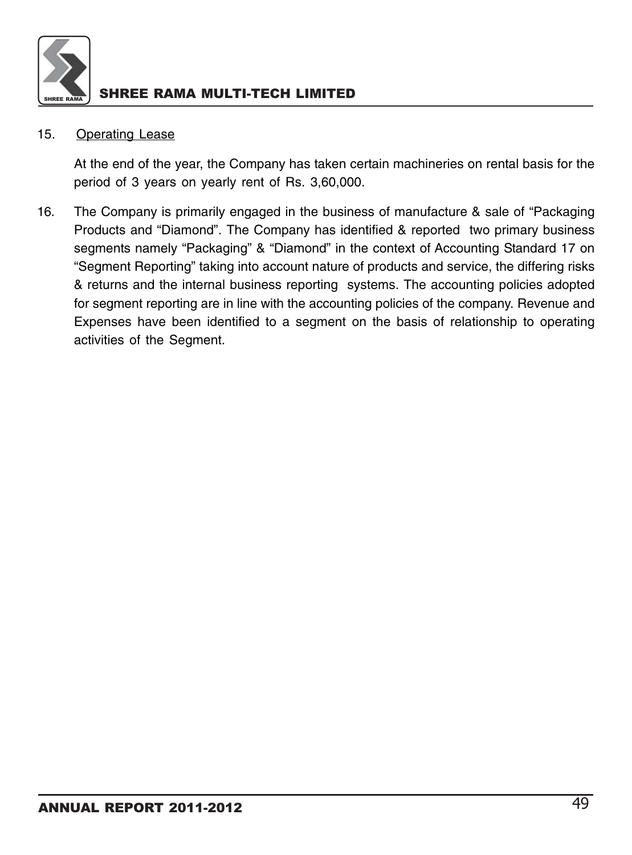

### 15. Operating Lease

At the end of the year, the Company has taken certain machineries on rental basis for the period of 3 years on yearly rent of Rs. 3,60,000.

16. The Company is primarily engaged in the business of manufacture & sale of "Packaging Products and "Diamond". The Company has identified & reported two primary business segments namely "Packaging" & "Diamond" in the context of Accounting Standard 17 on "Segment Reporting" taking into account nature of products and service, the differing risks & returns and the internal business reporting systems. The accounting policies adopted for segment reporting are in line with the accounting policies of the company. Revenue and Expenses have been identified to a segment on the basis of relationship to operating activities of the Segment.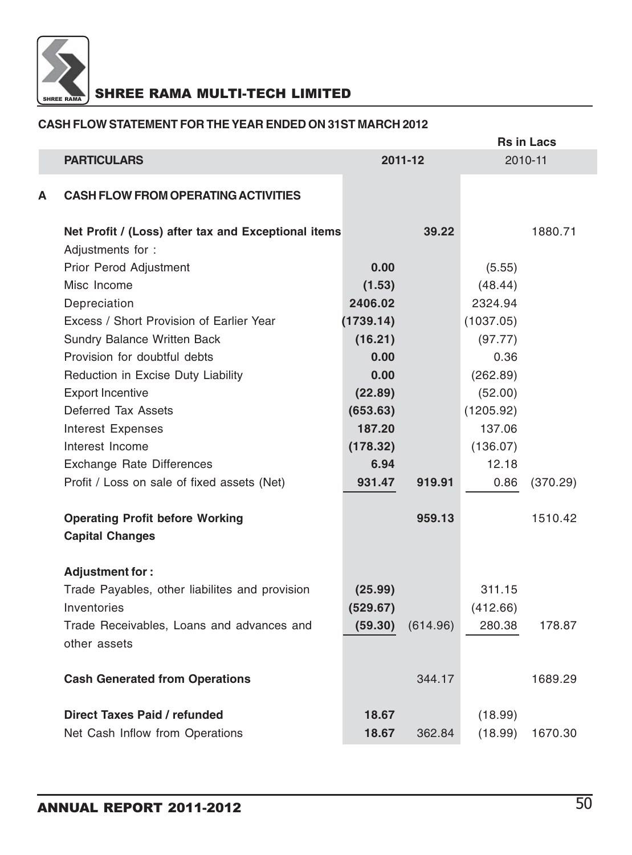

### **CASH FLOW STATEMENT FOR THE YEAR ENDED ON 31ST MARCH 2012**

|   |                                                                  |           |          | <b>Rs in Lacs</b> |          |  |
|---|------------------------------------------------------------------|-----------|----------|-------------------|----------|--|
|   | <b>PARTICULARS</b>                                               |           | 2011-12  |                   | 2010-11  |  |
| А | <b>CASH FLOW FROM OPERATING ACTIVITIES</b>                       |           |          |                   |          |  |
|   | Net Profit / (Loss) after tax and Exceptional items              |           | 39.22    |                   | 1880.71  |  |
|   | Adjustments for :                                                |           |          |                   |          |  |
|   | Prior Perod Adjustment                                           | 0.00      |          | (5.55)            |          |  |
|   | Misc Income                                                      | (1.53)    |          | (48.44)           |          |  |
|   | Depreciation                                                     | 2406.02   |          | 2324.94           |          |  |
|   | Excess / Short Provision of Earlier Year                         | (1739.14) |          | (1037.05)         |          |  |
|   | <b>Sundry Balance Written Back</b>                               | (16.21)   |          | (97.77)           |          |  |
|   | Provision for doubtful debts                                     | 0.00      |          | 0.36              |          |  |
|   | Reduction in Excise Duty Liability                               | 0.00      |          | (262.89)          |          |  |
|   | <b>Export Incentive</b>                                          | (22.89)   |          | (52.00)           |          |  |
|   | Deferred Tax Assets                                              | (653.63)  |          | (1205.92)         |          |  |
|   | Interest Expenses                                                | 187.20    |          | 137.06            |          |  |
|   | Interest Income                                                  | (178.32)  |          | (136.07)          |          |  |
|   | Exchange Rate Differences                                        | 6.94      |          | 12.18             |          |  |
|   | Profit / Loss on sale of fixed assets (Net)                      | 931.47    | 919.91   | 0.86              | (370.29) |  |
|   | <b>Operating Profit before Working</b><br><b>Capital Changes</b> |           | 959.13   |                   | 1510.42  |  |
|   | Adjustment for:                                                  |           |          |                   |          |  |
|   | Trade Payables, other liabilites and provision                   | (25.99)   |          | 311.15            |          |  |
|   | Inventories                                                      | (529.67)  |          | (412.66)          |          |  |
|   | Trade Receivables, Loans and advances and                        | (59.30)   | (614.96) | 280.38            | 178.87   |  |
|   | other assets                                                     |           |          |                   |          |  |
|   | <b>Cash Generated from Operations</b>                            |           | 344.17   |                   | 1689.29  |  |
|   | Direct Taxes Paid / refunded                                     | 18.67     |          | (18.99)           |          |  |
|   | Net Cash Inflow from Operations                                  | 18.67     | 362.84   | (18.99)           | 1670.30  |  |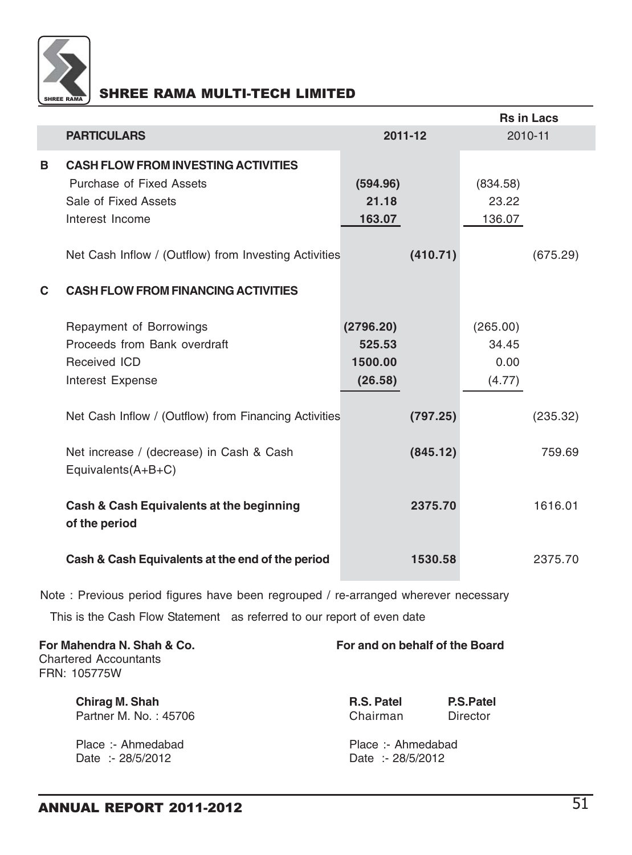

|    |                                                       |           |          |          | <b>Rs in Lacs</b> |
|----|-------------------------------------------------------|-----------|----------|----------|-------------------|
|    | <b>PARTICULARS</b>                                    | 2011-12   |          | 2010-11  |                   |
| в  | <b>CASH FLOW FROM INVESTING ACTIVITIES</b>            |           |          |          |                   |
|    | Purchase of Fixed Assets                              | (594.96)  |          | (834.58) |                   |
|    | Sale of Fixed Assets                                  | 21.18     |          | 23.22    |                   |
|    | Interest Income                                       | 163.07    |          | 136.07   |                   |
|    |                                                       |           |          |          |                   |
|    | Net Cash Inflow / (Outflow) from Investing Activities |           | (410.71) |          | (675.29)          |
|    |                                                       |           |          |          |                   |
| C. | <b>CASH FLOW FROM FINANCING ACTIVITIES</b>            |           |          |          |                   |
|    | Repayment of Borrowings                               | (2796.20) |          | (265.00) |                   |
|    | Proceeds from Bank overdraft                          | 525.53    |          | 34.45    |                   |
|    | Received ICD                                          | 1500.00   |          | 0.00     |                   |
|    |                                                       | (26.58)   |          | (4.77)   |                   |
|    | Interest Expense                                      |           |          |          |                   |
|    | Net Cash Inflow / (Outflow) from Financing Activities |           | (797.25) |          | (235.32)          |
|    |                                                       |           |          |          |                   |
|    | Net increase / (decrease) in Cash & Cash              |           | (845.12) |          | 759.69            |
|    | Equivalents $(A+B+C)$                                 |           |          |          |                   |
|    |                                                       |           |          |          |                   |
|    | Cash & Cash Equivalents at the beginning              |           | 2375.70  |          | 1616.01           |
|    | of the period                                         |           |          |          |                   |
|    |                                                       |           |          |          |                   |
|    | Cash & Cash Equivalents at the end of the period      |           | 1530.58  |          | 2375.70           |

Note : Previous period figures have been regrouped / re-arranged wherever necessary

This is the Cash Flow Statement as referred to our report of even date

| For Mahendra N. Shah & Co.<br>Chartered Accountants<br>FRN: 105775W | For and on behalf of the Board                         |  |  |  |
|---------------------------------------------------------------------|--------------------------------------------------------|--|--|--|
| Chirag M. Shah<br>Partner M. No.: 45706                             | P.S.Patel<br><b>R.S. Patel</b><br>Chairman<br>Director |  |  |  |
| Place: Ahmedabad<br>Date: - 28/5/2012                               | Place: Ahmedabad<br>Date: - 28/5/2012                  |  |  |  |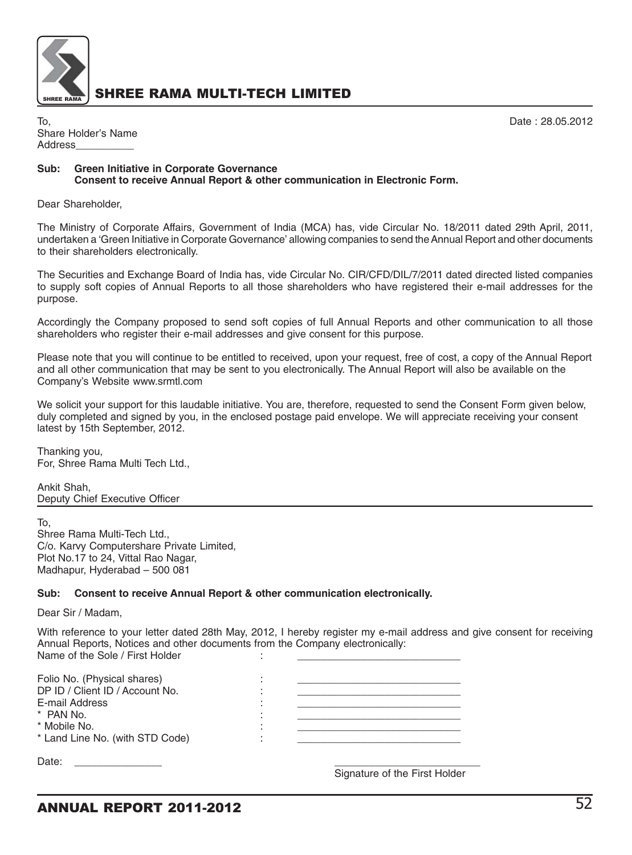

To, Date : 28.05.2012 Share Holder's Name Address\_\_\_\_\_\_\_\_\_\_

#### **Sub: Green Initiative in Corporate Governance Consent to receive Annual Report & other communication in Electronic Form.**

Dear Shareholder,

The Ministry of Corporate Affairs, Government of India (MCA) has, vide Circular No. 18/2011 dated 29th April, 2011, undertaken a 'Green Initiative in Corporate Governance' allowing companies to send the Annual Report and other documents to their shareholders electronically.

The Securities and Exchange Board of India has, vide Circular No. CIR/CFD/DIL/7/2011 dated directed listed companies to supply soft copies of Annual Reports to all those shareholders who have registered their e-mail addresses for the purpose.

Accordingly the Company proposed to send soft copies of full Annual Reports and other communication to all those shareholders who register their e-mail addresses and give consent for this purpose.

Please note that you will continue to be entitled to received, upon your request, free of cost, a copy of the Annual Report and all other communication that may be sent to you electronically. The Annual Report will also be available on the Company's Website www.srmtl.com

We solicit your support for this laudable initiative. You are, therefore, requested to send the Consent Form given below, duly completed and signed by you, in the enclosed postage paid envelope. We will appreciate receiving your consent latest by 15th September, 2012.

Thanking you, For, Shree Rama Multi Tech Ltd.,

Ankit Shah, Deputy Chief Executive Officer

To,

Shree Rama Multi-Tech Ltd., C/o. Karvy Computershare Private Limited, Plot No.17 to 24, Vittal Rao Nagar, Madhapur, Hyderabad – 500 081

#### **Sub: Consent to receive Annual Report & other communication electronically.**

Dear Sir / Madam,

With reference to your letter dated 28th May, 2012, I hereby register my e-mail address and give consent for receiving Annual Reports, Notices and other documents from the Company electronically: Name of the Sole / First Holder

Signature of the First Holder

| Folio No. (Physical shares)<br>DP ID / Client ID / Account No.<br>E-mail Address<br>* PAN No.<br>* Mobile No.<br>* Land Line No. (with STD Code) |  |
|--------------------------------------------------------------------------------------------------------------------------------------------------|--|
| Date:                                                                                                                                            |  |